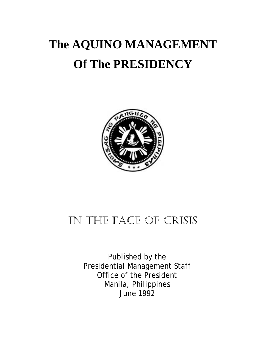# **The AQUINO MANAGEMENT Of The PRESIDENCY**



## IN THE FACE OF CRISIS

Published by the Presidential Management Staff Office of the President Manila, Philippines June 1992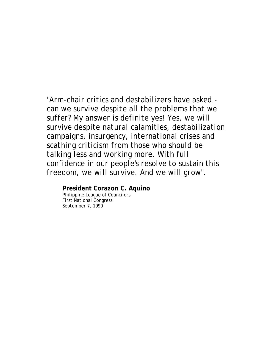*"Arm-chair critics and destabilizers have asked can we survive despite all the problems that we suffer? My answer is definite yes! Yes, we will survive despite natural calamities, destabilization campaigns, insurgency, international crises and scathing criticism from those who should be talking less and working more. With full confidence in our people's resolve to sustain this freedom, we will survive. And we will grow".* 

#### **President Corazon C. Aquino**

*Philippine League of Councilors First National Congress September 7, 1990*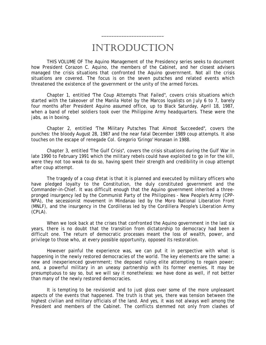### INTRODUCTION

\_\_\_\_\_\_\_\_\_\_\_\_\_\_\_\_\_\_\_\_\_\_\_\_\_

THIS VOLUME OF The Aquino Management of the Presidency series seeks to document how President Corazon C. Aquino, the members of the Cabinet, and her closest advisers managed the crisis situations that confronted the Aquino governrnent. Not all the crisis situations are covered. The focus is on the seven putsches and related events which threatened the existence of the government or the unity of the armed forces.

Chapter 1, entitled 'The Coup Attempts That Failed", covers crisis situations which started with the takeover of the Manila Hotel by the Marcos loyalists on July 6 to 7, barely four months after President Aquino assumed office, up to Black Saturday, April 18, 1987, when a band of rebel soldiers took over the Philippine Army headquarters. These were the jabs, as in boxing.

Chapter 2, entitled 'The Military Putsches That Almost Succeeded", covers the punches: the bloody August 28, 1987 and the near fatal December 1989 coup attempts. It also touches on the escape of renegade Col. Gregorio 'Gringo' Honasan in 1988.

Chapter 3, entitled 'The Gulf Crisis", covers the crisis situations during the Gulf War in late 1990 to February 1991 which the military rebels could have exploited to go in for the kill, were they not too weak to do so, having spent their strength and credibility in coup attempt after coup attempt.

The tragedy of a coup d'etat is that it is planned and executed by military officers who have pledged loyalty to the Constitution, the duly constituted government and the Commander-in-Chief. It was difficult enough that the Aquino government inherited a threepronged insurgency led by the Communist Party of the Philippines - New People's Army (CPP-NPA), the secessionist movement in Mindanao led by the Moro National Liberation Front (MNLF), and the insurgency in the Cordilleras led by the Cordillera People's Liberation Army (CPLA).

When we look back at the crises that confronted the Aquino government in the last six years, there is no doubt that the transition from dictatorship to democracy had been a difficult one. The return of democratic processes meant the loss of wealth, power, and privilege to those who, at every possible opportunity, opposed its restoration.

However painful the experience was, we can put it in perspective with what is happening in the newly restored democracies of the world. The key elements are the same: a new and inexperienced government; the deposed ruling elite attempting to regain power; and, a powerful military in an uneasy partnership with its former enemies. It may be presumptuous to say so, but we will say it nonetheless: we have done as well, if not better than many of the newly restored democracies.

It is tempting to be revisionist and to just gloss over some of the more unpleasant aspects of the events that happened. The truth is that yes, there was tension between the highest civilian and military officials of the land. And yes, it was not always well among the President and members of the Cabinet. The conflicts stemmed not only from clashes of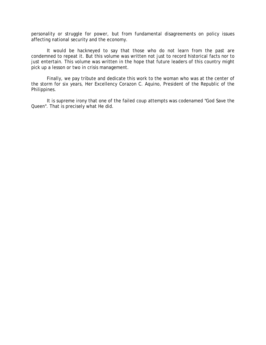personality or struggle for power, but from fundamental disagreements on policy issues affecting national security and the economy.

It would be hackneyed to say that those who do not learn from the past are condemned to repeat it. But this volume was written not just to record historical facts nor to just entertain. This volume was written in the hope that future leaders of this country might pick up a lesson or two in crisis management.

Finally, we pay tribute and dedicate this work to the woman who was at the center of the storm for six years, Her Excellency Corazon C. Aquino, President of the Republic of the Philippines.

It is supreme irony that one of the failed coup attempts was codenamed "God Save the Queen". That is precisely what He did.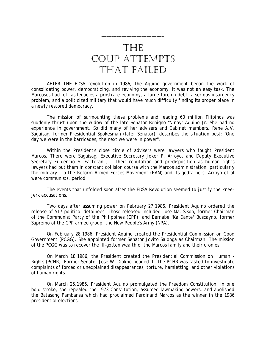## THE COUP ATTEMPTS THAT FAILED

\_\_\_\_\_\_\_\_\_\_\_\_\_\_\_\_\_\_\_\_\_\_\_\_\_

AFTER THE EDSA revolution in 1986, the Aquino government began the work of consolidating power, democratizing, and reviving the economy. It was not an easy task. The Marcoses had left as legacies a prostrate economy, a large foreign debt, a serious insurgency problem, and a politicized military that would have much difficulty finding its proper place in a newly restored democracy.

The mission of surmounting these problems and leading 60 million Filipinos was suddenly thrust upon the widow of the late Senator Benigno "Ninoy" Aquino Jr. She had no experience in government. So did many of her advisers and Cabinet members. Rene A.V. Saguisag, former Presidential Spokesman (later Senator), describes the situation best: "One day we were in the barricades, the next we were in power".

Within the President's close circle of advisers were lawyers who fought President Marcos. There were Saguisag, Executive Secretary Joker P. Arroyo, and Deputy Executive Secretary Fulgencio S. Factoran Jr. Their reputation and predisposition as human rights lawyers had put them in constant collision course with the Marcos administration, particularly the military. To the Reform Armed Forces Movement (RAM) and its godfathers, Arroyo et al were communists, period.

The events that unfolded soon after the EDSA Revolution seemed to justify the kneejerk accusations.

Two days after assuming power on February 27,1986, President Aquino ordered the release of 517 political detainees. Those released included Jose Ma. Sison, former Chairman of the Communist Party of the Philippines (CPP), and Bernabe "Ka Dante" Buscayno, former Supremo of the CPP armed group, the New People's Army (NPA).

On February 28,1986, President Aquino created the Presidential Commission on Good Government (PCGG). She appointed former Senator Jovito Salonga as Chairman. The mission of the PCGG was to recover the ill-gotten wealth of the Marcos family and their cronies.

On March 18,1986, the President created the Presidential Commission on Human - Rights (PCHR). Former Senator Jose W. Diokno headed it. The PCHR was tasked to investigate complaints of forced or unexplained disappearances, torture, hamletting, and other violations of human rights.

On March 25,1986, President Aquino promulgated the Freedom Constitution. In one bold stroke, she repealed the 1973 Constitution, assumed lawmaking powers, and abolished the Batasang Pambansa which had proclaimed Ferdinand Marcos as the winner in the 1986 presidential elections.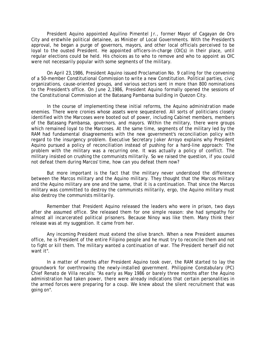President Aquino appointed Aquilino Pimentel Jr., former Mayor of Cagayan de Oro City and erstwhile political detainee, as Minister of Local Governments. With the President's approval, he began a purge of governors, mayors, and other local officials perceived to be loyal to the ousted President. He appointed officers-in-charge (OICs) in their place, until regular elections could be held. His choices as to who to remove and who to appoint as OIC were not necessarily popular with some segments of the military.

On April 23,1986, President Aquino issued Proclamation No. 9 calling for the convening of a 50-member Constitutional Commission to write a new Constitution. Political parties, civic organizations, cause-oriented groups, and various sectors sent in more than 800 nominations to the President's office. On June 2,1986, President Aquino formally opened the sessions of the Constitutional Commission at the Batasang Pambansa building in Quezon City.

In the course of implementing these initial reforms, the Aquino administration made enemies. There were cronies whose assets were sequestered. All sorts of politicians closely identified with the Marcoses were booted out of power, including Cabinet members, members of the Batasang Pambansa, governors, and mayors. Within the military, there were groups which remained loyal to the Marcoses. At the same time, segments of the military led by the RAM had fundamental disagreements with the new government's reconciliation policy with regard to the insurgency problem. Executive Secretary Joker Arroyo explains why President Aquino pursued a policy of reconciliation instead of pushing for a hard-line approach: 'The problem with the military was a recurring one. It was actually a policy of conflict. The military insisted on crushing the communists militarily. So we raised the question, if you could not defeat them during Marcos' time, how can you defeat them now?

But more important is the fact that the military never understood the difference between the Marcos military and the Aquino military. They thought that the Marcos military and the Aquino military are one and the same, that it is a continuation. That since the Marcos military was committed to destroy the communists militarily, ergo, the Aquino military must also destroy the communists militarily.

Remember that President Aquino released the leaders who were in prison, two days after she assumed office. She released them for one simple reason: she had sympathy for almost all incarcerated political prisoners. Because Ninoy was like them. Many think their release was at my suggestion. It came from her.

Any incoming President must extend the olive branch. When a new President assumes office, he is President of the entire Filipino people and he must try to reconcile them and not to fight or kill them. The military wanted a continuation of war. The President herself did not want it".

In a matter of months after President Aquino took over, the RAM started to lay the groundwork for overthrowing the newly-installed government. Philippine Constabulary (PC) Chief Renato de Villa recalls: "As early as May 1986 or barely three months after the Aquino administration had taken power, there were already indications that certain personalities in the armed forces were preparing for a coup. We knew about the silent recruitment that was going on".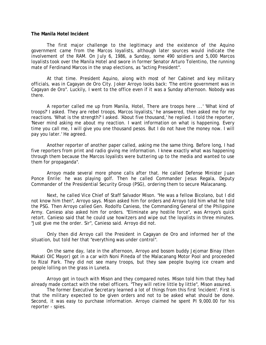#### **The Manila Hotel Incident**

The first major challenge to the legitimacy and the existence of the Aquino government came from the Marcos loyalists, although later sources would indicate the involvement of the RAM. On July 6, 1986, a Sunday, some 490 soldiers and 5,000 Marcos loyalists took over the Manila Hotel and swore in former Senator Arturo Tolentino, the running mate of Ferdinand Marcos in the snap elections, as "acting President".

At that time. President Aquino, along with most of her Cabinet and key military officials, was in Cagayan de Oro City. Joker Arroyo looks back: 'The entire government was in Cagayan de Oro". Luckily, I went to the office even if it was a Sunday afternoon. Nobody was there.

A reporter called me up from Manila, Hotel, There are troops here ...' 'What kind of troops?' I asked. They are rebel troops, Marcos loyalists,' he answered, then asked me for my reactions. 'What is the strength?' I asked. 'About five thousand,' he replied. I told the reporter, 'Never mind asking me about my reaction. I want information on what is happening. Every time you call me, I will give you one thousand pesos. But I do not have the money now. I will pay you later.' He agreed.

Another reporter of another paper called, asking me the same thing. Before long, I had five reporters from print and radio giving me information. I knew exactly what was happening through them because the Marcos loyalists were buttering up to the media and wanted to use them for propaganda".

Arroyo made several more phone calls after that. He called Defense Minister Juan Ponce Enrile: he was playing golf. Then he called Commander Jesus Regala, Deputy Commander of the Presidential Security Group (PSG), ordering them to secure Malacanang.

Next, he called Vice Chief of Staff Salvador Mison. "He was a fellow Bicolano, but I did not know him then", Arroyo says. Mison asked him for orders and Arroyo told him what he told the PSG. Then Arroyo called Gen. Rodolfo Canieso, the Commanding General of the Philippine Army. Canieso also asked him for orders. "Eliminate any hostile force", was Arroyo's quick retort. Canieso said that he could use howitzers and wipe out the loyalists in three minutes. "Just give me the order. Sir", Canieso said. Arroyo did not.

Only then did Arroyo call the President in Cagayan de Oro and informed her of the situation, but told her that "everything was under control".

On the same day, late in the afternoon, Arroyo and bosom buddy Jejomar Binay (then Makati OIC Mayor) got in a car with Noni Pineda of the Malacanang Motor Pool and proceeded to Rizal Park. They did not see many troops, but they saw people buying ice cream and people lolling on the grass in Luneta.

Arroyo got in touch with Mison and they compared notes. Mison told him that they had already made contact with the rebel officers. "They will retire little by little", Mison assured.

The former Executive Secretary learned a lot of things from this first 'incident'. First is that the military expected to be given orders and not to be asked what should be done. Second, it was easy to purchase information. Arroyo claimed he spent PI 9,000.00 for his reporter - spies.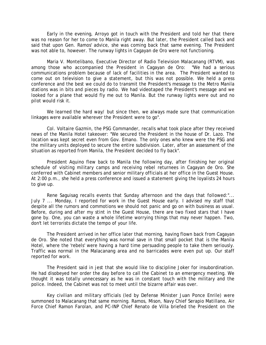Early in the evening, Arroyo got in touch with the President and told her that there was no reason for her to come to Manila right away. But later, the President called back and said that upon Gen. Ramos' advice, she was coming back that same evening. The President was not able to, however. The runway lights in Cagayan de Oro were not functioning.

Maria V. Montelibano, Executive Director of Radio Television Malacanang (RTVM), was among those who accompanied the President in Cagayan de Oro: "We had a serious communications problem because of lack of facilities in the area. The President wanted to come out on television to give a statement, but this was not possible. We held a press conference and the best we could do to transmit the President's message to the Metro Manila stations was in bits and pieces by radio. We had videotaped the President's message and we looked for a plane that would fly me out to Manila. But the runway lights were out and no pilot would risk it.

We learned the hard way/ but since then, we always made sure that communication linkages were available wherever the President were to go".

Col. Voltaire Gazmin, the PSG Commander, recalls what took place after they received news of the Manila Hotel takeover: "We secured the President in the house of Dr. Lazo. The location was kept secret even from Gov. Emano. The only ones who knew were the PSG and the military units deployed to secure the entire subdivision. Later, after an assessment of the situation as reported from Manila, the President decided to fly back".

President Aquino flew back to Manila the following day, after finishing her original schedule of visiting military camps and receiving rebel returnees in Cagayan de Oro. She conferred with Cabinet members and senior military officials at her office in the Guest House. At 2:00 p.m., she held a press conference and issued a statement giving the loyalists 24 hours to give up.

Rene Saguisag recalls events that Sunday afternoon and the days that followed:"... July 7 ... Monday, I reported for work in the Guest House early. I advised my staff that despite all the rumors and commotions we should not panic and go on with business as usual. Before, during and after my stint in the Guest House, there are two fixed stars that I have gone by. One, you can waste a whole lifetime worrying things that may never happen. Two, don't let terrorists dictate the tempo of your life.

The President arrived in her office later that morning, having flown back from Cagayan de Oro. She noted that everything was normal save in that small pocket that is the Manila Hotel, where the 'rebels' were having a hard time persuading people to take them seriously. Traffic was normal in the Malacanang area and no barricades were even put up. Our staff reported for work.

The President said in jest that she would like to discipline Joker for insubordination. He had disobeyed her order the day before to call the Cabinet to an emergency meeting. We thought it was totally unnecessary as he was in constant touch with the military and the police. Indeed, the Cabinet was not to meet until the bizarre affair was over.

Key civilian and military officials (led by Defense Minister Juan Ponce Enrile) were summoned to Malacanang that same morning. Ramos, Mison, Navy Chief Serapio Matillano, Air Force Chief Ramon Farolan, and PC-INP Chief Renato de Villa briefed the President on the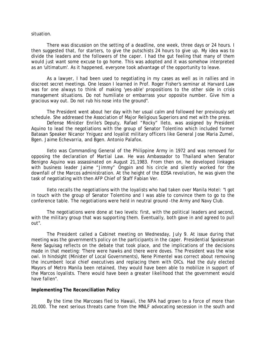#### situation.

There was discussion on the setting of a deadline, one week, three days or 24 hours. I then suggested that, for starters, to give the putschists 24 hours to give up. My idea was to divide the leaders and the followers of the caper. I had the gut feeling that many of them would just want some excuse to go home. This was adopted and it was somehow interpreted as an 'ultimatum'. As it happened, everyone took advantage of the opportunity to leave.

As a lawyer, I had been used to negotiating in my cases as well as in rallies and in discreet secret meetings. One lesson I learned in Prof. Roger Fisher's seminar at Harvard Law was for one always to think of making 'yes-able' propositions to the other side in crisis management situations. Do not humiliate or embarrass your opposite number. Give him a gracious way out. Do not rub his nose into the ground".

The President went about her day with her usual calm and followed her previously set schedule. She addressed the Association of Major Religious Superiors and met with the press.

Defense Minister Enrile's Deputy, Rafael "Rocky" Ileto, was assigned by President Aquino to lead the negotiations with the group of Senator Tolentino which included former Batasan Speaker Nicanor Yniguez and loyalist military officers like General Jose Maria Zumel, Bgen. Jaime Echevarria, and Bgen. Antonio Palafox.

Ileto was Commanding General of the Philippine Army in 1972 and was removed for opposing the declaration of Martial Law. He was Ambassador to Thailand when Senator Benigno Aquino was assassinated on August 21,1983. From then on, he developed linkages with business leader Jaime "Jimmy" Ongpin and his circle and silently worked for the downfall of the Marcos administration. At the height of the EDSA revolution, he was given the task of negotiating with then AFP Chief of Staff Fabian Ver.

Ileto recalls the negotiations with the loyalists who had taken over Manila Hotel: "I got in touch with the group of Senator Tolentino and I was able to convince them to go to the conference table. The negotiations were held in neutral ground -the Army and Navy Club.

The negotiations were done at two levels: first, with the political leaders and second, with the military group that was supporting them. Eventually, both gave in and agreed to pull out".

The President called a Cabinet meeting on Wednesday, July 9. At issue during that meeting was the government's policy on the participants in the caper. Presidential Spokesman Rene Saguisag reflects on the debate that took place, and the implications of the decisions made in that meeting: 'There were hawks and there were doves. The President was the wise owl. In hindsight (Minister of Local Governments), Nene Pimentel was correct about removing the incumbent local chief executives and replacing them with OICs. Had the duly elected Mayors of Metro Manila been retained, they would have been able to mobilize in support of the Marcos loyalists. There would have been a greater likelihood that the government would have fallen".

#### **Implementing The Reconciliation Policy**

By the time the Marcoses fled to Hawaii, the NPA had grown to a force of more than 20,000. The next serious threats came from the MNLF advocating secession in the south and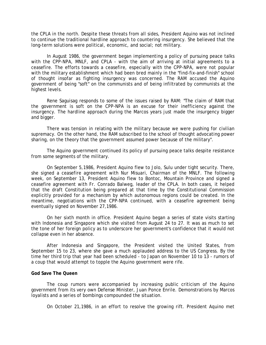the CPLA in the north. Despite these threats from all sides, President Aquino was not inclined to continue the traditional hardline approach to countering insurgency. She believed that the long-term solutions were political, economic, and social; not military.

In August 1986, the government began implementing a policy of pursuing peace talks with the CPP-NPA, MNLF, and CPLA - with the aim of arriving at initial agreements to a ceasefire. The efforts towards a ceasefire, especially with the CPP-NPA, were not popular with the military establishment which had been bred mainly in the "find-fix-and-finish" school of thought insofar as fighting insurgency was concerned. The RAM accused the Aquino government of being "soft" on the communists and of being infiltrated by communists at the highest levels.

Rene Saguisag responds to some of the issues raised by RAM: "The claim of RAM that the government is soft on the CPP-NPA is an excuse for their inefficiency against the insurgency. The hardline approach during the Marcos years just made the insurgency bigger and bigger.

There was tension in relating with the military because we were pushing for civilian supremacy. On the other hand, the RAM subscribed to the school of thought advocating power sharing, on the theory that the government assumed power because of the military".

The Aquino government continued its policy of pursuing peace talks despite resistance from some segments of the military.

On September 5,1986, President Aquino flew to Jolo, Sulu under tight security. There, she signed a ceasefire agreement with Nur Misuari, Chairman of the MNLF. The following week, on September 13, President Aquino flew to Bontoc, Mountain Province and signed a ceasefire agreement with Fr. Conrado Balweg, leader of the CPLA. In both cases, it helped that the draft Constitution being prepared at that time by the Constitutional Commission explicitly provided for a mechanism by which autonomous regions could be created. In the meantime, negotiations with the CPP-NPA continued, with a ceasefire agreement being eventually signed on November 27,1986.

On her sixth month in office. President Aquino began a series of state visits starting with Indonesia and Singapore which she visited from August 24 to 27. It was as much to set the tone of her foreign policy as to underscore her government's confidence that it would not collapse even in her absence.

After Indonesia and Singapore, the President visited the United States, from September 15 to 23, where she gave a much applauded address to the US Congress. By the time her third trip that year had been scheduled - to Japan on November 10 to 13 - rumors of a coup that would attempt to topple the Aquino government were rife.

#### **God Save The Queen**

The coup rumors were accompanied by increasing public criticism of the Aquino government from its very own Defense Minister, Juan Ponce Enrile. Demonstrations by Marcos loyalists and a series of bombings compounded the situation.

On October 21,1986, in an effort to resolve the growing rift. President Aquino met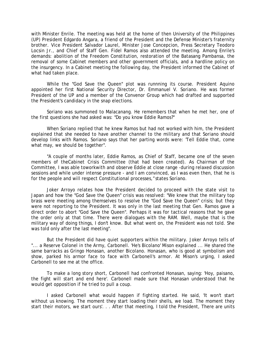with Minister Enrile. The meeting was held at the home of then University of the Philippines (UP) President Edgardo Angara, a friend of the President and the Defense Minister's fraternity brother. Vice President Salvador Laurel, Minister Jose Concepcion, Press Secretary Teodoro Locsin Jr., and Chief of Staff Gen. Fidel Ramos also attended the meeting. Among Enrile's demands: abolition of the Freedom Constitution, restoration of the Batasang Pambansa, the removal of some Cabinet members and other government officials, and a hardline policy on the insurgency. In a Cabinet meeting the following day, the President informed the Cabinet of what had taken place.

While the "God Save the Queen" plot was runnning its course. President Aquino appointed her first National Security Director, Dr. Emmanuel V. Soriano. He was former President of the UP and a member of the Convenor Group which had drafted and supported the President's candidacy in the snap elections.

Soriano was summoned to Malacanang. He remembers that when he met her, one of the first questions she had asked was: "Do you know Eddie Ramos?"

When Soriano replied that he knew Ramos but had not worked with him, the President explained that she needed to have another channel to the military and that Soriano should develop links with Ramos. Soriano says that her parting words were: 'Tell Eddie that, come what may, we should be together".

"A couple of months later, Eddie Ramos, as Chief of Staff, became one of the seven members of theCabinet Crisis Committee (that had been created). As Chairman of the Committee, I was able toworkwith and observe Eddie at close range -during relaxed discussion sessions and while under intense pressure - and I am convinced, as I was even then, that he is for the people and will respect Constitutional processes,"states Soriano.

Joker Arroyo relates how the President decided to proceed with the state visit to Japan and how the "God Save the Queen" crisis was resolved: "We knew that the military top brass were meeting among themselves to resolve the "God Save the Queen" crisis; but they were not reporting to the President. It was only in the last meeting that Gen. Ramos gave a direct order to abort "God Save the Queen". Perhaps it was for tactical reasons that he gave the order only at that time. There were dialogues with the RAM. Well, maybe that is the military way of doing things, I don't know. But what went on, the President was not told. She was told only after the last meeting".

But the President did have quiet supporters within the military. Joker Arroyo tells of "... a Reserve Colonel in the Army, Carbonell. 'He's Bicolano' Mison explained ... He shared the same barracks as Gringo Honasan, another Bicolano. Honasan, who is good at symbolism and show, parked his armor face to face with Carbonell's armor. At Mison's urging, I asked Carbonell to see me at the office.

To make a long story short, Carbonell had confronted Honasan, saying: 'Hoy, paisano, the fight will start and end here'. Carbonell made sure that Honasan understood that he would get opposition if he tried to pull a coup.

I asked Carbonell what would happen if fighting started. He said, 'It won't start without us knowing. The moment they start loading their shells, we load. The moment they start their motors, we start ours'. . . After that meeting, I told the President, There are units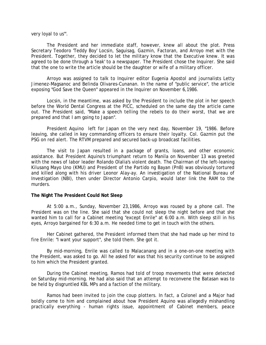very loyal to us'".

The President and her immediate staff, however, knew all about the plot. Press Secretary Teodoro 'Teddy Boy' Locsin, Saguisag, Gazmin, Factoran, and Arroyo met with the President. Together, they decided to let the military know that the Executive knew. It was agreed to be done through a 'leak' to a newspaper. The President chose the Inquirer. She said that the one to write the article should be the daughter or wife of a military officer.

Arroyo was assigned to talk to Inquirer editor Eugenia Apostol and journalists Letty Jimenez-Magsanoc and Belinda Olivares-Cunanan. In the name of "public service", the article exposing "God Save the Queen" appeared in the Inquirer on November 6,1986.

Locsin, in the meantime, was asked by the President to include the plot in her speech before the World Dental Congress at the PICC, scheduled on the same day the article came out. The President said, "Make a speech telling the rebels to do their worst, that we are prepared and that I am going to Japan".

President Aquino left for Japan on the very next day, November 19, "1986. Before leaving, she called in key commanding officers to ensure their loyalty. Col. Gazmin put the PSG on red alert. The RTVM prepared and secured back-up broadcast facilities.

The visit to Japan resulted in a package of grants, loans, and other economic assistance. But President Aquino's triumphant return to Manila on November 13 was greeted with the news of labor leader Rolando Olalia's violent death. The Chairman of the left-leaning Kilusang Mayo Uno (KMU) and President of the Partido ng Bayan (PnB) was obviously tortured and killed along with his driver Leonor Alay-ay. An investigation of the National Bureau of Investigation (NBI), then under Director Antonio Carpio, would later link the RAM to the murders.

#### **The Night The President Could Not Sleep**

At 5:00 a.m., Sunday, November 23,1986, Arroyo was roused by a phone call. The President was on the line. She said that she could not sleep the night before and that she wanted him to call for a Cabinet meeting "except Enrile" at 6:00 a.m. With sleep still in his eyes, Arroyo bargained for 6:30 a.m. He needed time to get in touch with the others.

Her Cabinet gathered, the President informed them that she had made up her mind to fire Enrile: "I want your support", she told them. She got it.

By mid-morning, Enrile was called to Malacanang and in a one-on-one meeting with the President, was asked to go. All he asked for was that his security continue to be assigned to him which the President granted.

During the Cabinet meeting, Ramos had told of troop movements that were detected on Saturday mid-morning. He had also said that an attempt to reconvene the Batasan was to be held by disgruntled KBL MPs and a faction of the military.

Ramos had been invited to join the coup plotters. In fact, a Colonel and a Major had boldly come to him and complained about how President Aquino was allegedly mishandling practically everything - human rights issue, appointment of Cabinet members, peace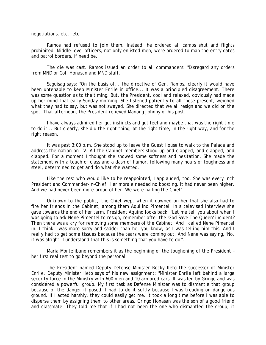negotiations, etc., etc.

Ramos had refused to join them. Instead, he ordered all camps shut and flights prohibited. Middle-level officers, not only enlisted men, were ordered to man the entry gates and patrol borders, if need be.

The die was cast. Ramos issued an order to all commanders: "Disregard any orders from MND or Col. Honasan and MND staff.

Saguisag says: "On the basis of... the directive of Gen. Ramos, clearly it would have been untenable to keep Minister Enrile in office... It was a principled disagreement. There was some question as to the timing. But, the President, cool and relaxed, obviously had made up her mind that early Sunday morning. She listened patiently to all those present, weighed what they had to say, but was not swayed. She directed that we all resign and we did on the spot. That afternoon, the President relieved Manong Johnny of his post.

I have always admired her gut instincts and gut feel and maybe that was the right time to do it... But clearly, she did the right thing, at the right time, in the right way, and for the right reason.

It was past 3:00 p.m. She stood up to leave the Guest House to walk to the Palace and address the nation on TV. All the Cabinet members stood up and clapped, and clapped, and clapped. For a moment I thought she showed some softness and hesitation. She made the statement with a touch of class and a dash of humor, following many hours of toughness and steel, determined to get and do what she wanted.

Like the rest who would like to be reappointed, I applauded, too. She was every inch President and Commander-in-Chief. Her morale needed no boosting. It had never been higher. And we had never been more proud of her. We were hailing the Chief".

Unknown to the public, 'the Chief wept when it dawned on her that she also had to fire her friends in the Cabinet, among them Aquilino Pimentel. In a televised interview she gave towards the end of her term. President Aquino looks back: "Let me tell you about when I was going to ask Nene Pimentel to resign, remember after the 'God Save The Queen' incident? Then there was a cry for removing some members of the Cabinet. And I called Nene Pimentel in. I think I was more sorry and sadder than he, you know, as I was telling him this. And I really had to get some tissues because the tears were coming out. And Nene was saying, 'No, it was alright, I understand that this is something that you have to do'".

Maria Montelibano remembers it as the beginning of the toughening of the President – her first real test to go beyond the personal.

The President named Deputy Defense Minister Rocky Ileto the successor of Minister Enrile. Deputy Minister Ileto says of his new assignment: "Minister Enrile left behind a large security force in the Ministry with 600 men and 10 armored cars. It was led by Gringo and was considered a powerful group. My first task as Defense Minister was to dismantle that group because of the danger it posed. I had to do it softly because I was treading on dangerous ground. If I acted harshly, they could easily get me. It took a long time before I was able to disperse them by assigning them to other areas. Gringo Honasan was the son of a good friend and classmate. They told me that if I had not been the one who dismantled the group, it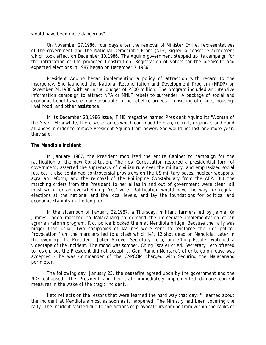would have been more dangerous".

On November 27,1986, four days after the removal of Minister Enrile, representatives of the government and the National Democratic Front (NDF) signed a ceasefire agreement which took effect on December 10,1986. The Aquino government stepped up its campaign for the ratification of the proposed Constitution. Registration of voters for the plebiscite and expected elections in 1987 began on December 7,1986.

President Aquino began implementing a policy of attraction with regard to the insurgency. She launched the National Reconciliation and Development Program (NRDP) on December 24,1986 with an initial budget of P300 million. The program included an intensive information campaign to attract NPA or MNLF rebels to surrender. A package of social and economic benefits were made available to the rebel returnees - consisting of grants, housing, livelihood, and other assistance.

In its December 28,1986 issue, TIME magazine named President Aquino its "Woman of the Year". Meanwhile, there were forces which continued to plan, recruit, organize, and build alliances in order to remove President Aquino from power. She would not last one more year, they said.

#### **The Mendiola Incident**

In January 1987, the President mobilized the entire Cabinet to campaign for the ratification of the new Constitution. The new Constitution restored a presidential form of government, asserted the supremacy of civilian rule over the military, and emphasized social justice. It also contained controversial provisions on the US military bases, nuclear weapons, agrarian reform, and the removal of the Philippine Constabulary from the AFP. But the marching orders from the President to her allies in and out of government were clear: all must work for an overwhelming "Yes" vote. Ratification would pave the way for regular elections at the national and the local levels, and lay the foundations for political and economic stability in the long run.

In the afternoon of January 22,1987, a Thursday, militant farmers led by Jaime 'Ka Jimmy' Tadeo marched to Malacanang to demand the immediate implementation of an agrarian reform program. Riot police blocked them at Mendiola bridge. Because the rally was bigger than usual, two companies of Marines were sent to reinforce the riot police. Provocation from the marchers led to a clash which left 12 shot dead on Mendiola. Later in the evening, the President, Joker Arroyo, Secretary Ileto, and Ching Escaler watched a videotape of the incident. The mood was somber. Ching Escaler cried. Secretary Ileto offered to resign, but the President did not accept it. Gen. Ramon Montano's offer to go on leave was accepted - he was Commander of the CAPCOM charged with Securing the Malacanang perimeter.

The following day, January 23, the ceasefire agreed upon by the government and the NDF collapsed. The President and her staff immediately implemented damage control measures in the wake of the tragic incident.

Ileto reflects on the lessons that were learned the hard way that day: "I learned about the incident at Mendiola almost as soon as it happened. The Ministry had been covering the rally. The incident started due to the actions of provocateurs coming from within the ranks of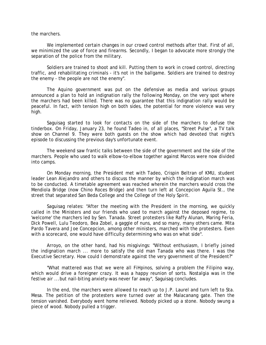#### the marchers.

We implemented certain changes in our crowd control methods after that. First of all, we minimized the use of force and firearms. Secondly, I began to advocate more strongly the separation of the police from the military.

Soldiers are trained to shoot and kill. Putting them to work in crowd control, directing traffic, and rehabilitating criminals - it's not in the ballgame. Soldiers are trained to destroy the enemy - the people are not the enemy".

The Aquino government was put on the defensive as media and various groups announced a plan to hold an indignation rally the following Monday, on the very spot where the marchers had been killed. There was no guarantee that this indignation rally would be peaceful. In fact, with tension high on both sides, the potential for more violence was very high.

Saguisag started to look for contacts on the side of the marchers to defuse the tinderbox. On Friday, January 23, he found Tadeo in, of all places, "Street Pulse", a TV talk show on Channel 9. They were both guests on the show which had devoted that night's episode to discussing the previous day's unfortunate event.

The weekend saw frantic talks between the side of the government and the side of the marchers. People who used to walk elbow-to-elbow together against Marcos were now divided into camps.

On Monday morning, the President met with Tadeo, Crispin Beltran of KMU, student leader Lean Alejandro and others to discuss the manner by which the indignation march was to be conducted. A timetable agreement was reached wherein the marchers would cross the Mendiola Bridge (now Chino Roces Bridge) and then turn left at Concepcion Aguila St., the street that separated San Beda College and the College of the Holy Spirit.

Saguisag relates: "After the meeting with the President in the morning, we quickly called in the Ministers and our friends who used to march against the deposed regime, to 'welcome' the marchers led by Sen. Tanada. Street protesters like Raffy Alunan, Maring Feria, Dick Powell, Lulu Teodoro, Bea Zobel, a gaggle of nuns, and so many, many others came. Mita Pardo Tavera and Joe Concepcion, among other ministers, marched with the protesters. Even with a scorecard, one would have difficulty determining who was on what side".

Arroyo, on the other hand, had his misgivings: "Without enthusiasm, I briefly joined the indignation march ... more to satisfy the old man Tanada who was there. I was the Executive Secretary. How could I demonstrate against the very government of the President?"

"What mattered was that we were all FiHpinos, solving a problem the Filipino way, which would drive a foreigner crazy. It was a happy reunion of sorts. Nostalgia was in the festive air ...but nail-biting anxiety-was never far away", Saguisag concludes.

In the end, the marchers were allowed to reach up to J.P. Laurel and turn left to Sta. Mesa. The petition of the protesters were turned over at the Malacanang gate. Then the tension vanished. Everybody went home relieved. Nobody picked up a stone. Nobody swung a piece of wood. Nobody pulled a trigger.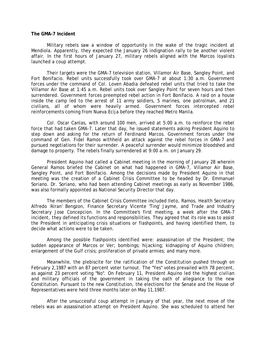#### **The GMA-7 Incident**

Military rebels saw a window of opportunity in the wake of the tragic incident at Mendiola. Apparently, they expected the January 26 indignation rally to be another violent affair. In the first hours of January 27, military rebels aligned with the Marcos loyalists launched a coup attempt.

Their targets were the GMA-7 television station, Villamor Air Base, Sangley Point, and Fort Bonifacio. Rebel units successfully took over GMA-7 at about 1:30 a.m. Government forces under the command of Col. Loven Abadia defeated rebel units that tried to take the Villamor Air Base at 1:45 a.m. Rebel units took over Sangley Point for seven hours and then surrendered. Government forces preempted rebel action in Fort Bonifacio. A raid on a house inside the camp led to the arrest of 11 army soldiers, 5 marines, one patrolman, and 21 civilians, all of whom were heavily armed. Government forces intercepted rebel reinforcements coming from Nueva Ecija before they reached Metro Manila.

Col. Oscar Canlas, with around 100 men, arrived at 5:00 a.m. to reinforce the rebel force that had taken GMA-7. Later that day, he issued statements asking President Aquino to step down and asking for the return of Ferdinand Marcos. Government forces under the command of Gen. Fidel Ramos withheld an attack against the rebel forces in GMA-7 and pursued negotiations for their surrender. A peaceful surrender would minimize bloodshed and damage to property. The rebels finally surrendered at 9:00 a.m. on January 29.

President Aquino had called a Cabinet meeting in the morning of January 28 wherein General Ramos briefed the Cabinet on what had happened in GMA-7, Villamor Air Base, Sangley Point, and Fort Bonifacio. Among the decisions made by President Aquino in that meeting was the creation of a Cabinet Crisis Committee to be headed by Dr. Emmanuel Soriano. Dr. Soriano, who had been attending Cabinet meetings as early as November 1986, was also formally appointed as National Security Director that day.

The members of the Cabinet Crisis Committee included Ileto, Ramos, Health Secretary Alfredo 'Alran' Bengzon, Finance Secretary Vicente 'Ting' Jayme, and Trade and Industry Secretary Jose Concepcion. In the Committee's first meeting, a week after the GMA-7 incident, they defined its functions and responsibilities. They agreed that its role was to assist the President in anticipating crisis situations or flashpoints, and having identified them, to decide what actions were to be taken.

Among the possible flashpoints identified were: assassination of the President; the sudden appearance of Marcos or Ver; bombings; hijacking; kidnapping of Aquino children; enlargement of the Gulf crisis; proliferation of private armies; and many more.

Meanwhile, the plebiscite for the ratification of the Constitution pushed through on February 2,1987 with an 87 percent voter turnout. The "Yes" votes prevailed with 78 percent, as against 23 percent voting "No". On February 11, President Aquino led the highest civilian and military officials of the government in taking the oath of allegiance to the new Constitution. Pursuant to the new Constitution, the elections for the Senate and the House of Representatives were held three months later on May 11,1987.

After the unsuccessful coup attempt in January of that year, the next move of the rebels was an assassination attempt on President Aquino. She was scheduled to attend her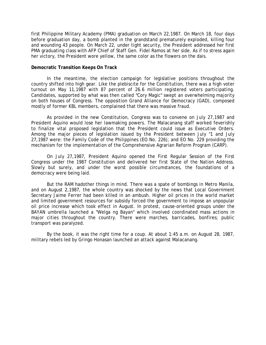first Philippine Military Academy (PMA) graduation on March 22,1987. On March 18, four days before graduation day, a bomb planted in the grandstand prematurely exploded, killing four and wounding 43 people. On March 22, under tight security, the President addressed her first PMA graduating class with AFP Chief of Staff Gen. Fidel Ramos at her side. As if to stress again her victory, the President wore yellow, the same color as the flowers on the dais.

#### **Democratic Transition Keeps On Track**

In the meantime, the election campaign for legislative positions throughout the country shifted into high gear. Like the plebiscite for the Constitution, there was a high voter turnout on May 11,1987 with 87 percent of 26.6 million registered voters participating. Candidates, supported by what was then called "Cory Magic" swept an overwhelming majority on both houses of Congress. The opposition Grand Alliance for Democracy (GAD), composed mostly of former KBL members, complained that there was massive fraud.

As provided in the new Constitution, Congress was to convene on July 27,1987 and President Aquino would lose her lawmaking powers. The Malacanang staff worked feverishly to finalize vital proposed legislation that the President could issue as Executive Orders. Among the major pieces of legislation issued by the President between July "1 and July 27,1987 were: the Family Code of the Philippines (EO No. 226); and EO No. 229 providing the mechanism for the implementation of the Comprehensive Agrarian Reform Program (CARP).

On July 27,1987, President Aquino opened the First Regular Session of the First Congress under the 1987 Constitution and delivered her first State of the Nation Address. Slowly but surely, and under the worst possible circumstances, the foundations of a democracy were being laid.

But the RAM hadother things in mind. There was a spate of bombings in Metro Manila, and on August 2,1987, the whole country was shocked by the news that Local Government Secretary Jaime Ferrer had been killed in an ambush. Higher oil prices in the world market and limited government resources for subsidy forced the government to impose an unpopular oil price increase which took effect in August. In protest, cause-oriented groups under the BAYAN umbrella launched a "Welga ng Bayan" which involved coordinated mass actions in major cities throughout the country. There were marches, barricades, bonfires; public transport was paralyzed.

By the book, it was the right time for a coup. At about 1:45 a.m. on August 28, 1987, military rebels led by Gringo Honasan launched an attack against Malacanang.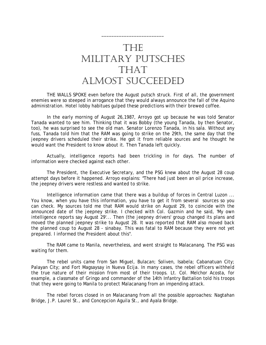## THE MILITARY PUTSCHES THAT ALMOST SUCCEEDED

\_\_\_\_\_\_\_\_\_\_\_\_\_\_\_\_\_\_\_\_\_\_\_\_\_

THE WALLS SPOKE even before the August putsch struck. First of all, the government enemies were so steeped in arrogance that they would always announce the fall of the Aquino administration. Hotel lobby habitues gulped these predictions with their brewed coffee.

In the early morning of August 26,1987, Arroyo got up because he was told Senator Tanada wanted to see him. Thinking that it was Bobby (the young Tanada, by then Senator, too), he was surprised to see the old man. Senator Lorenzo Tanada, in his sala. Without any fuss, Tanada told him that the RAM was going to strike on the 29th, the same day that the ieepnev drivers scheduled their strike. He got it from reliable sources and he thought he would want the President to know about it. Then Tanada left quickly.

Actually, intelligence reports had been trickling in for days. The number of information were checked against each other.

The President, the Executive Secretary, and the PSG knew about the August 28 coup attempt days before it happened. Arroyo explains: "There had just been an oil price increase, the jeepney drivers were restless and wanted to strike.

Intelligence information came that there was a buildup of forces in Central Luzon ... You know, when you have this information, you have to get it from several sources so you can check. My sources told me that RAM would strike on August 29, to coincide with the announced date of the jeepney strike. I checked with Col. Gazmin and he said, 'My own intelligence reports say August 29'... Then (the jeepney drivers' group changed its plans and moved the planned jeepney strike to August 28. It was reported that RAM also moved back the planned coup to August 28 - sinabay. This was fatal to RAM because they were not yet prepared. I informed the President about this".

The RAM came to Manila, nevertheless, and went straight to Malacanang. The PSG was waiting for them.

The rebel units came from San Miguel, Bulacan; Soliven, Isabela; Cabanatuan City; Palayan City; and Fort Magsaysay in Nueva Ecija. In many cases, the rebel officers withheld the true nature of their mission from most of their troops. Lt. Col. Melchor Acosta, for example, a classmate of Gringo and commander of the 14th Infantry Battalion told his troops that they were going to Manila to protect Malacanang from an impending attack.

The rebel forces closed in on Malacanang from all the possible approaches: Nagtahan Bridge, J.P. Laurel St., and Concepcion Aguila St., and Ayala Bridge.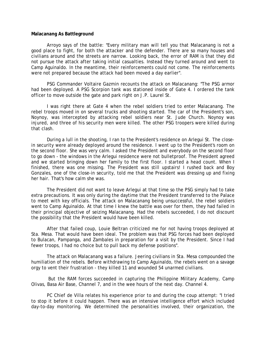#### **Malacanang As Battleground**

Arroyo says of the battle: "Every military man will tell you that Malacanang is not a good place to fight, for both the attacker and the defender. There are so many houses and civilians around and the streets are narrow. Looking back, the error of RAM is that they did not pursue the attack after taking initial casualties. Instead they turned around and went to Camp Aguinaldo. In the meantime, their reinforcements could not come. The reinforcements were not prepared because the attack had been moved a day earlier".

PSG Commander Voltaire Gazmin recounts the attack on Malacanang: "The PSG armor had been deployed. A PSG Scorpion tank was stationed inside of Gate 4. I ordered the tank officer to move outside the gate and park right on J.P. Laurel St.

I was right there at Gate 4 when the rebel soldiers tried to enter Malacanang. The rebel troops moved in on several trucks and shooting started. The car of the President's son, Noynoy, was intercepted by attacking rebel soldiers near St. Jude Church. Noynoy was injured, and three of his security men were killed. The other PSG troopers were killed during that clash.

During a lull in the shooting, I ran to the President's residence on Arlegui St. The closein security were already deployed around the residence. I went up to the President's room on the second floor. She was very calm. I asked the President and everybody on the second floor to go down - the windows in the Arlegui residence were not bulletproof. The President agreed and we started bringing down her family to the first floor. I started a head count. When I finished, there was one missing. The President was still upstairs! I rushed back and Boy Gonzales, one of the close-in security, told me that the President was dressing up and fixing her hair. That's how calm she was.

The President did not want to leave Arlegui at that time so the PSG simply had to take extra precautions. It was only during the daytime that the President transferred to the Palace to meet with key officials. The attack on Malacanang being unsuccessful, the rebel soldiers went to Camp Aguinaldo. At that time I knew the battle was over for them, they had failed in their principal objective of seizing Malacanang. Had the rebels succeeded, I do not discount the possibility that the President would have been killed.

After that failed coup, Louie Beltran criticized me for not having troops deployed at Sta. Mesa. That would have been ideal. The problem was that PSG forces had been deployed to Bulacan, Pampanga, and Zambales in preparation for a visit by the President. Since I had fewer troops, I had no choice but to pull back my defense positions".

The attack on Malacanang was a failure. Jeering civilians in Sta. Mesa compounded the humiliation of the rebels. Before withdrawing to Camp Aguinaldo, the rebels went on a savage orgy to vent their frustration - they killed 11 and wounded 54 unarmed civilians.

 But the RAM forces succeeded in capturing the Philippine Military Academy, Camp Olivas, Basa Air Base, Channel 7, and in the wee hours of the next day. Channel 4.

PC Chief de Villa relates his experience prior to and during the coup attempt: "I tried to stop it before it could happen. There was an intensive intelligence effort which included day-to-day monitoring. We determined the personalities involved, their organization, the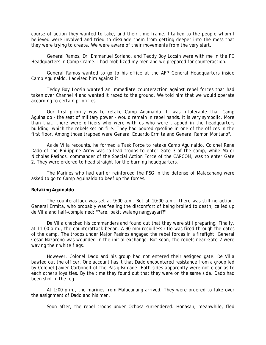course of action they wanted to take, and their time frame. I talked to the people whom I believed were involved and tried to dissuade them from getting deeper into the mess that they were trying to create. We were aware of their movements from the very start.

General Ramos, Dr. Emmanuel Soriano, and Teddy Boy Locsin were with me in the PC Headquarters in Camp Crame. I had mobilized my men and we prepared for counteraction.

General Ramos wanted to go to his office at the AFP General Headquarters inside Camp Aguinaldo. I advised him against it.

Teddy Boy Locsin wanted an immediate counteraction against rebel forces that had taken over Channel 4 and wanted it razed to the ground. We told him that we would operate according to certain priorities.

Our first priority was to retake Camp Aguinaldo. It was intolerable that Camp Aguinaldo - the seat of military power - would remain in rebel hands. It is very symbolic. More than that, there were officers who were with us who were trapped in the headquarters building, which the rebels set on fire. They had poured gasoline in one of the offices in the first floor. Among those trapped were General Eduardo Ermita and General Ramon Montano".

As de Villa recounts, he formed a Task Force to retake Camp Aguinaldo. Colonel Rene Dado of the Philippine Army was to lead troops to enter Gate 3 of the camp, while Major Nicholas Pasinos, commander of the Special Action Force of the CAPCOM, was to enter Gate 2. They were ordered to head straight for the burning headquarters.

The Marines who had earlier reinforced the PSG in the defense of Malacanang were asked to go to Camp Aguinaldo to beef up the forces.

#### **Retaking Aguinaldo**

The counterattack was set at 9:00 a.m. But at 10:00 a.m., there was still no action. General Ermita, who probably was feeling the discomfort of being broiled to death, called up de Villa and half-complained: "Pare, bakit walang nangyayari?"

De Villa checked his commanders and found out that they were still preparing. Finally, at 11:00 a.m., the counterattack began. A 90 mm recoilless rifle was fired through the gates of the camp. The troops under Major Pasinos engaged the rebel forces in a firefight. General Cesar Nazareno was wounded in the initial exchange. But soon, the rebels near Gate 2 were waving their white flags.

However, Colonel Dado and his group had not entered their assigned gate. De Villa bawled out the officer. One account has it that Dado encountered resistance from a group led by Colonel Javier Carbonell of the Pasig Brigade. Both sides apparently were not clear as to each other's loyalties. By the time they found out that they were on the same side. Dado had been shot in the leg.

At 1:00 p.m., the marines from Malacanang arrived. They were ordered to take over the assignment of Dado and his men.

Soon after, the rebel troops under Ochosa surrendered. Honasan, meanwhile, fled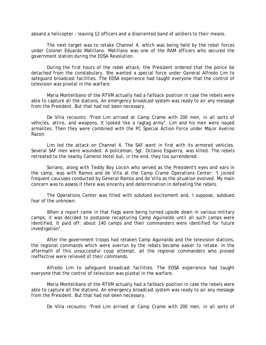aboard a helicopter - leaving 12 officers and a disoriented band of soldiers to their means.

The next target was to retake Channel 4, which was being held by the rebel forces under Colonel Eduardo Matillano. Matillano was one of the RAM officers who secured the government station during the EDSA Revolution.

During the first hours of the rebel attack, the President ordered that the police be detached from the constabulary. She wanted a special force under General Alfredo Lim to safeguard broadcast facilities. The EDSA experience had taught everyone that the control of television was pivotal in the warfare.

Maria Montelibano of the RTVM actually had a fallback position in case the rebels were able to capture all the stations. An emergency broadcast system was ready to air any message from the President. But that had not been necessary.

De Villa recounts: "Fred Lim arrived at Camp Crame with 200 men, in all sorts of vehicles, attire, and weapons. It looked like a ragtag army". Lim and his men were issued armalites. Then they were combined with the PC Special Action Force under Major Avelino Razon.

Lim led the attack on Channel 4. The SAF went in first with its armored vehicles. Several SAF men were wounded. A policeman, Sgt. Octavio Esguerra, was killed. The rebels retreated to the nearby Camelot Hotel but, in the end, they too surrendered.

Soriano, along with Teddy Boy Locsin who served as the President's eyes and ears in the camp, was with Ramos and de Villa at the Camp Crame Operations Center: "I joined frequent caucuses conducted by General Ramos and de Villa as the situation evolved. My main concern was to assess if there was sincerity and determination in defeating the rebels.

The Operations Center was filled with subdued excitement and, I suppose, subdued fear of the unknown.

When a report came in that flags were being turned upside down in various military camps, it was decided to postpone recapturing Camp Aguinaldo until all such camps were identified. It paid off: about 140 camps and their commanders were identified for future investigation".

After the government troops had retaken Camp Aguinaldo and the television stations, the regional commands which were overrun by the rebels became easier to retake. In the aftermath of this unsuccessful coup attempt, all the regional commanders who proved ineffective were relieved of their commands.

Alfredo Lim to safeguard broadcast facilities. The EDSA experience had taught everyone that the control of television was pivotal in the warfare.

Maria Montelibano of the RTVM actually had a fallback position in case the rebels were able to capture all the stations. An emergency broadcast system was ready to air any message from the President. But that had not been necessary.

De Villa recounts: "Fred Lim arrived at Camp Crame with 200 men, in all sorts of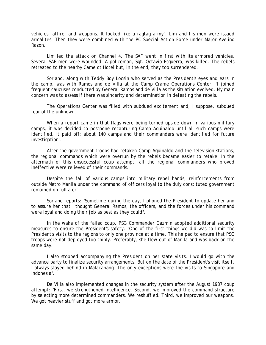vehicles, attire, and weapons. It looked like a ragtag army". Lim and his men were issued armalites. Then they were combined with the PC Special Action Force under Major Avelino Razon.

Lim led the attack on Channel 4. The SAF went in first with its armored vehicles. Several SAF men were wounded. A policeman, Sgt. Octavio Esguerra, was killed. The rebels retreated to the nearby Camelot Hotel but, in the end, they too surrendered.

Soriano, along with Teddy Boy Locsin who served as the President's eyes and ears in the camp, was with Ramos and de Villa at the Camp Crame Operations Center: "I joined frequent caucuses conducted by General Ramos and de Villa as the situation evolved. My main concern was to assess if there was sincerity and determination in defeating the rebels.

The Operations Center was filled with subdued excitement and, I suppose, subdued fear of the unknown.

When a report came in that flags were being turned upside down in various military camps, it was decided to postpone recapturing Camp Aguinaldo until all such camps were identified. It paid off: about 140 camps and their commanders were identified for future investigation".

After the government troops had retaken Camp Aguinaldo and the television stations, the regional commands which were overrun by the rebels became easier to retake. In the aftermath of this unsuccessful coup attempt, all the regional commanders who proved ineffective were relieved of their commands.

Despite the fall of various camps into military rebel hands, reinforcements from outside Metro Manila under the command of officers loyal to the duly constituted government remained on full alert.

Soriano reports: "Sometime during the day, I phoned the President to update her and to assure her that I thought General Ramos, the officers, and the forces under his command were loyal and doing their job as best as they could".

In the wake of the failed coup, PSG Commander Gazmin adopted additional security measures to ensure the President's safety: "One of the first things we did was to limit the President's visits to the regions to only one province at a time. This helped to ensure that PSG troops were not deployed too thinly. Preferably, she flew out of Manila and was back on the same day.

I also stopped accompanying the President on her state visits. I would go with the advance party to finalize security arrangements. But on the date of the President's visit itself, I always stayed behind in Malacanang. The only exceptions were the visits to Singapore and Indonesia".

De Villa also implemented changes in the security system after the August 1987 coup attempt: "First, we strengthened intelligence. Second, we improved the command structure by selecting more determined commanders. We reshuffled. Third, we improved our weapons. We got heavier stuff and got more armor.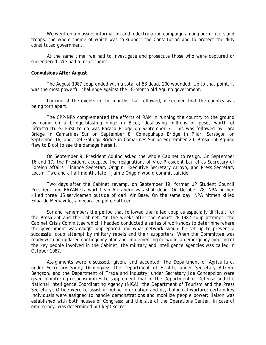We went on a massive information and indoctrination campaign among our officers and troops, the whole theme of which was to support the Constitution and to protect the duly constituted government.

At the same time, we had to investigate and prosecute those who were captured or surrendered. We had a lot of them".

#### **Convulsions After August**

The August 1987 coup ended with a total of 53 dead, 200 wounded. Up to that point, it was the most powerful challenge against the 18-month old Aquino government.

Looking at the events in the months that followed, it seemed that the country was being torn apart.

The CPP-NPA complemented the efforts of RAM in running the country to the ground by going on a bridge-blasting binge in Bicol, destroying millions of pesos worth of infrastructure. First to go was Baraca Bridge on September 7. This was followed by Tara Bridge in Camarines Sur on September 8; Comapukapo Bridge in Pilar, Sorsogon on September'16; and, Del Gallego Bridge in Camarines Sur on September 20. President Aquino flew to Bicol to see the damage herself.

On September 9, President Aquino asked the whole Cabinet to resign. On September 16 and 17, the President accepted the resignations of Vice-President Laurel as Secretary of Foreign Affairs, Finance Secretary Ongpin, Executive Secretary Arroyo, and Press Secretary Locsin. Two and a half months later, Jaime Ongpin would commit suicide.

Two days after the Cabinet revamp, on September 19, former UP Student Council President and BAYAN stalwart Lean Alejandro was shot dead. On October 28, NPA hitmen killed three US servicemen outside of dark Air Base. On the same day, NPA hitmen killed Eduardo Mediavillo, a decorated police officer

Soriano remembers the period that followed the failed coup as especially difficult for the President and the Cabinet: "In the weeks after the August 28,1987 coup attempt, the Cabinet Crisis Committee which I headed conducted a series of workshops to determine where the government was caught unprepared and what network should be set up to prevent a successful coup attempt by military rebels and their supporters. When the Committee was ready with an updated contingency plan and implementing network, an emergency meeting of the key people involved in the Cabinet, the military and intelligence agencies was called in October 1987.

Assignments were discussed, given, and accepted: the Department of Agriculture, under Secretary Sonny Dominguez, the Department of Health, under Secretary Alfredo Bengzon, and the Department of Trade and Industry, under Secretary Joe Concepcion were given monitoring responsibilities to supplement that of the Department of Defense and the National Intelligence Coordinating Agency (NICA); the Department of Tourism and the Press Secretary's Office were to assist in public information and psychological warfare; certain key individuals were assigned to handle demonstrations and mobilize people power; liaison was established with both houses of Congress; and the site of the Operations Center, in case of emergency, was determined but kept secret.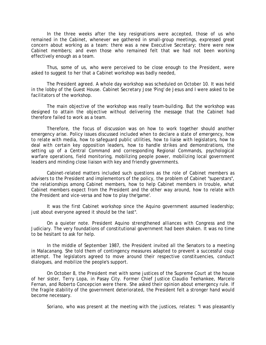In the three weeks after the key resignations were accepted, those of us who remained in the Cabinet, whenever we gathered in small-group meetings, expressed great concern about working as a team: there was a new Executive Secretary; there were new Cabinet members; and even those who remained felt that we had not been working effectively enough as a team.

Thus, some of us, who were perceived to be close enough to the President, were asked to suggest to her that a Cabinet workshop was badly needed,

The President agreed. A whole day workshop was scheduled on October 10. It was held in the lobby of the Guest House. Cabinet Secretary Jose 'Ping' de Jesus and I were asked to be facilitators of the workshop.

The main objective of the workshop was really team-building. But the workshop was designed to attain the objective without delivering the message that the Cabinet had therefore failed to work as a team.

Therefore, the focus of discussion was on how to work together should another emergency arise. Policy issues discussed included when to declare a state of emergency, how to relate with media, how to safeguard public utilities, how to liaise with legislators, how to deal with certain key opposition leaders, how to handle strikes and demonstrations, the setting up of a Central Command and corresponding Regional Commands, psychological warfare operations, field monitoring, mobilizing people power, mobilizing local government leaders and minding close liaison with key and friendly governments.

Cabinet-related matters included such questions as the role of Cabinet members as advisers to the President and implementors of the policy, the problem of Cabinet "superstars", the relationships among Cabinet members, how to help Cabinet members in trouble, what Cabinet members expect from the President and the other way around, how to relate with the President and vice-versa and how to play the'game'.

It was the first Cabinet workshop since the Aquino government assumed leadership; just about everyone agreed it should be the last".

On a quieter note. President Aquino strengthened alliances with Congress and the Judiciary. The very foundations of constitutional government had been shaken. It was no time to be hesitant to ask for help.

In the middle of September 1987, the President invited all the Senators to a meeting in Malacanang. She told them of contingency measures adapted to prevent a successful coup attempt. The legislators agreed to move around their respective constituencies, conduct dialogues, and mobilize the people's support.

On October 8, the President met with some justices of the Supreme Court at the house of her sister, Terry Lopa, in Pasay City. Former Chief Justice Claudio Teehankee, Marcelo Fernan, and Roberto Concepcion were there. She asked their opinion about emergency rule. If the fragile stability of the government deteriorated, the President felt a stronger hand would become necessary.

Soriano, who was present at the meeting with the justices, relates: "I was pleasantly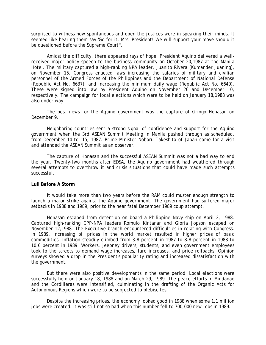surprised to witness how spontaneous and open the justices were in speaking their minds. It seemed like hearing them say 'Go for it, Mrs. President! We will support your move should it be questioned before the Supreme Court'".

Amidst the difficulty, there appeared rays of hope. President Aquino delivered a wellreceived major policy speech to the business community on October 20,1987 at the Manila Hotel. The military captured a high-ranking NPA leader, Juanito Rivera (Kumander Juaning), on November 15. Congress enacted laws increasing the salaries of military and civilian personnel of the Armed Forces of the Philippines and the Department of National Defense (Republic Act No. 6637), and increasing the minimum daily wage (Republic Act No. 6640). These were signed into law by President Aquino on November 26 and December 10, respectively. The campaign for local elections which were to be held on January 18,1988 was also under way.

The best news for the Aquino government was the capture of Gringo Honasan on December 9.

Neighboring countries sent a strong signal of confidence and support for the Aquino government when the 3rd ASEAN Summit Meeting in Manila pushed through as scheduled, from December 14 to "15, 1987. Prime Minister Noboru Takeshita of Japan came for a visit and attended the ASEAN Summit as an observer.

The capture of Honasan and the successful ASEAN Summit was not a bad way to end the year. Twenty-two months after EDSA, the Aquino government had weathered through several attempts to overthrow it and crisis situations that could have made such attempts successful.

#### **Lull Before A Storm**

It would take more than two years before the RAM could muster enough strength to launch a major strike against the Aquino government. The government had suffered major setbacks in 1988 and 1989, prior to the near fatal December 1989 coup attempt.

Honasan escaped from detention on board a Philippine Navy ship on April 2, 1988. Captured high-ranking CPP-NPA leaders Romulo Kintanar and Gloria Jopson escaped on November 12,1988. The Executive branch encountered difficulties in relating with Congress. In 1989, increasing oil prices in the world market resulted in higher prices of basic commodities. Inflation steadily climbed from 3.8 percent in 1987 to 8.8 percent in 1988 to 10.6 percent in 1989. Workers, jeepney drivers, students, and even government employees took to the streets to demand wage increases, fare increases, and price rollbacks. Opinion surveys showed a drop in the President's popularity rating and increased dissatisfaction with the government.

But there were also positive developments in the same period. Local elections were successfully held on January 18, 1988 and on March 29, 1989. The peace efforts in Mindanao and the Cordilleras were intensified, culminating in the drafting of the Organic Acts for Autonomous Regions which were to be subjected to plebiscites.

Despite the increasing prices, the economy looked good in 1988 when some 1.1 million jobs were created. It was still not so bad when this number fell to 700,000 new jobs in 1989.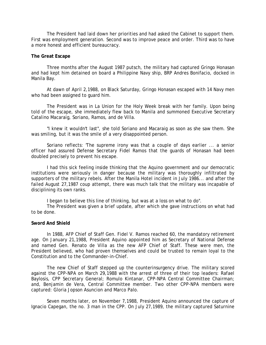The President had laid down her priorities and had asked the Cabinet to support them. First was employment generation. Second was to improve peace and order. Third was to have a more honest and efficient bureaucracy.

#### **The Great Escape**

Three months after the August 1987 putsch, the military had captured Gringo Honasan and had kept him detained on board a Philippine Navy ship, BRP Andres Bonifacio, docked in Manila Bay.

At dawn of April 2,1988, on Black Saturday, Gringo Honasan escaped with 14 Navy men who had been assigned to guard him.

The President was in La Union for the Holy Week break with her family. Upon being told of the escape, she immediately flew back to Manila and summoned Executive Secretary Catalino Macaraig, Soriano, Ramos, and de Villa.

"I knew it wouldn't last", she told Soriano and Macaraig as soon as she saw them. She was smiling, but it was the smile of a very disappointed person.

Soriano reflects: 'The supreme irony was that a couple of days earlier ... a senior officer had assured Defense Secretary Fidel Ramos that the guards of Honasan had been doubled precisely to prevent his escape.

I had this sick feeling inside thinking that the Aquino government and our democratic institutions were seriously in danger because the military was thoroughly infiltrated by supporters of the military rebels. After the Manila Hotel incident in July 1986... and after the failed August 27,1987 coup attempt, there was much talk that the military was incapable of disciplining its own ranks.

I began to believe this line of thinking, but was at a loss on what to do".

The President was given a brief update, after which she gave instructions on what had to be done.

#### **Sword And Shield**

In 1988, AFP Chief of Staff Gen. Fidel V. Ramos reached 60, the mandatory retirement age. On January 21,1988, President Aquino appointed him as Secretary of National Defense and named Gen. Renato de Villa as the new AFP Chief of Staff. These were men, the President believed, who had proven themselves and could be trusted to remain loyal to the Constitution and to the Commander-in-Chief.

The new Chief of Staff stepped up the counterinsurgency drive. The military scored against the CPP-NPA on March 29,1988 with the arrest of three of their top leaders: Rafael Baylosis, CPP Secretary General; Romulo Kintanar, CPP-NPA Central Committee Chairman; and, Benjamin de Vera, Central Committee member. Two other CPP-NPA members were captured: Gloria Jopson Asuncion and Marco Palo.

Seven months later, on November 7,1988, President Aquino announced the capture of Ignacio Capegan, the no. 3 man in the CPP. On July 27,1989, the military captured Saturnine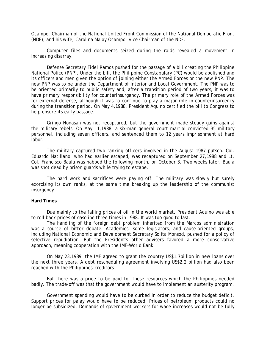Ocampo, Chairman of the National United Front Commission of the National Democratic Front (NDF), and his wife, Carolina Malay Ocampo, Vice Chairman of the NDF.

Computer files and documents seized during the raids revealed a movement in increasing disarray.

Defense Secretary Fidel Ramos pushed for the passage of a bill creating the Philippine National Police (PNP). Under the bill, the Philippine Constabulary (PC) would be abolished and its officers and men given the option of joining either the Armed Forces or the new PNP. The new PNP was to be under the Department of Interior and Local Government. The PNP was to be oriented primarily to public safety and, after a transition period of two years, it was to have primary responsibility for counterinsurgency. The primary role of the Armed Forces was for external defense, although it was to continue to play a major role in counterinsurgency during the transition period. On May 4,1988, President Aquino certified the bill to Congress to help ensure its early passage.

Gringo Honasan was not recaptured, but the government made steady gains against the military rebels. On May 11,1988, a six-man general court martial convicted 35 military personnel, including seven officers, and sentenced them to 12 years imprisonment at hard labor.

The military captured two ranking officers involved in the August 1987 putsch. Col. Eduardo Matillano, who had earlier escaped, was recaptured on September 27,1988 and Lt. Col. Francisco Baula was nabbed the following month, on October 3. Two weeks later, Baula was shot dead by prison guards while trying to escape.

The hard work and sacrifices were paying off. The military was slowly but surely exorcising its own ranks, at the same time breaking up the leadership of the communist insurgency.

#### **Hard Times**

Due mainly to the falling prices of oil in the world market. President Aquino was able to roll back prices of gasoline three times in 1988. It was too good to last.

The handling of the foreign debt problem inherited from the Marcos administration was a source of bitter debate. Academics, some legislators, and cause-oriented groups, including National Economic and Development Secretary Solita Monsod, pushed for a policy of selective repudiation. But the President's other advisers favored a more conservative approach, meaning cooperation with the IMF-World Bank.

On May 23,1989, the IMF agreed to grant the country US\$1.7billion in new loans over the next three years. A debt rescheduling agreement involving US\$2.2 billion had also been reached with the Philippines' creditors.

But there was a price to be paid for these resources which the Philippines needed badly. The trade-off was that the government would have to implement an austerity program.

Government spending would have to be curbed in order to reduce the budget deficit. Support prices for palay would have to be reduced. Prices of petroleum products could no longer be subsidized. Demands of government workers for wage increases would not be fully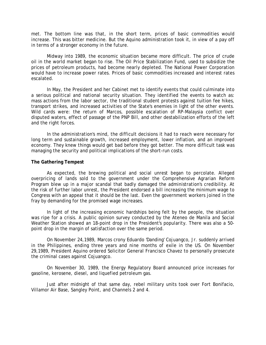met. The bottom line was that, in the short term, prices of basic commodities would increase. This was bitter medicine. But the Aquino administration took it, in view of a pay off in terms of a stronger economy in the future.

Midway into 1989, the economic situation became more difficult. The price of crude oil in the world market began to rise. The Oil Price Stabilization Fund, used to subsidize the prices of petroleum products, had become nearly depleted. The National Power Corporation would have to increase power rates. Prices of basic commodities increased and interest rates escalated.

In May, the President and her Cabinet met to identify events that could culminate into a serious political and national security situation. They identified the events to watch as: mass actions from the labor sector, the traditional student protests against tuition fee hikes, transport strikes, and increased activities of the State's enemies in light of the other events. Wild cards were: the return of Marcos, possible escalation of RP-Malaysia conflict over disputed waters, effect of passage of the PNP Bill, and other destabilization efforts of the left and the right forces.

In the administration's mind, the difficult decisions it had to reach were necessary for long term and sustainable growth, increased employment, lower inflation, and an improved economy. They knew things would get bad before they got better. The more difficult task was managing the security and political implications of the short-run costs.

#### **The Gathering Tempest**

As expected, the brewing political and social unrest began to percolate. Alleged overpricing of lands sold to the government under the Comprehensive Agrarian Reform Program blew up in a major scandal that badly damaged the administration's credibility. At the risk of further labor unrest, the President endorsed a bill increasing the minimum wage to Congress with an appeal that it should be the last. Even the government workers joined in the fray by demanding for the promised wage increases.

In light of the increasing economic hardships being felt by the people, the situation was ripe for a crisis. A public opinion survey conducted by the Ateneo de Manila and Social Weather Station showed an 18-point drop in the President's popularity. There was also a 50 point drop in the margin of satisfaction over the same period.

On November 24,1989, Marcos crony Eduardo 'Danding' Cojuangco, Jr. suddenly arrived in the Philippines, ending three years and nine months of exile in the US. On November 29,1989, President Aquino ordered Solicitor General Francisco Chavez to personally prosecute the criminal cases against Cojuangco.

On November 30, 1989, the Energy Regulatory Board announced price increases for gasoline, kerosene, diesel, and liquefied petroleum gas.

Just after midnight of that same day, rebel military units took over Fort Bonifacio, Villamor Air Base, Sangley Point, and Channels 2 and 4.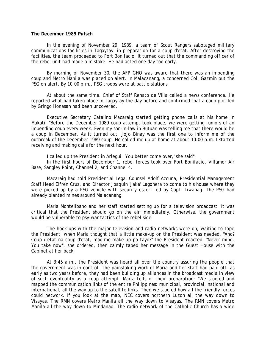#### **The December 1989 Putsch**

In the evening of November 29, 1989, a team of Scout Rangers sabotaged military communications facilities in Tagaytay, in preparation for a coup d'etat. After destroying the facilities, the team proceeded to Fort Bonifacio. It turned out that the commanding officer of the rebel unit had made a mistake. He had acted one day too early.

By morning of November 30, the AFP GHQ was aware that there was an impending coup and Metro Manila was placed on alert. In Malacanang, a concerned Col. Gazmin put the PSG on alert. By 10:00 p.m., PSG troops were at battle stations.

At about the same time. Chief of Staff Renato de Villa called a news conference. He reported what had taken place in Tagaytay the day before and confirmed that a coup plot led by Gringo Honasan had been uncovered.

Executive Secretary Catalino Macaraig started getting phone calls at his home in Makati: "Before the December 1989 coup attempt took place, we were getting rumors of an impending coup every week. Even my son-in-law in Butuan was telling me that there would be a coup in December. As it turned out, Jojo Binay was the first one to inform me of the outbreak of the December 1989 coup. He called me up at home at about 10:00 p.m. I started receiving and making calls for the next hour.

I called up the President in Arlegui. 'You better come over,' she said".

In the first hours of December 1, rebel forces took over Fort Bonifacio, Villamor Air Base, Sangley Point, Channel 2, and Channel 4.

Macaraig had told Presidential Legal Counsel Adolf Azcuna, Presidential Management Staff Head Elfren Cruz, and Director Joaquin 'Jake' Lagonera to come to his house where they were picked up by a PSG vehicle with security escort led by Capt. Liwanag. The PSG had already planted mines around Malacanang.

Maria Montelibano and her staff started setting up for a television broadcast. It was critical that the President should go on the air immediately. Otherwise, the government would be vulnerable to psy-war tactics of the rebel side.

The hook-ups with the major television and radio networks were on, waiting to tape the President, when Maria thought that a little make-up on the President was needed. "Ano? Coup d'etat na coup d'etat, mag-me-make-up pa tayo?" the President reacted. "Never mind. You take now", she ordered, then calmly taped her message in the Guest House with the Cabinet at her back.

At 3:45 a.m., the President was heard all over the country assuring the people that the government was in control. The painstaking work of Maria and her staff had paid off- as early as two years before, they had been building up alliances in the broadcast media in view of such eventuality as a coup attempt. Maria tells of their preparation: "We studied and mapped the communication links of the entire Philippines: municipal, provincial, national and international, all the way up to the satellite links. Then we studied how all the friendly forces could network. If you look at the map, NEC covers northern Luzon all the way down to Visayas. The RMN covers Metro Manila all the way down to Visayas. The RMN covers Metro Manila all the way down to Mindanao. The radio network of the Catholic Church has a wide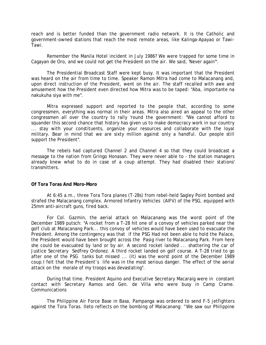reach and is better funded than the government radio network. It is the Catholic and government-owned stations that reach the most remote areas, like Kalinga-Apayao or Tawi-Tawi.

Remember the Manila Hotel incident in July 1986? We were trapped for some time in Cagayan de Oro, and we could not get the President on the air. We said, 'Never again'".

The Presidential Broadcast Staff were kept busy. It was important that the President was heard on the air from time to time. Speaker Ramon Mitra had come to Malacanang and, upon direct instruction of the President, went on the air. The staff recalled with awe and amusement how the President even directed how Mitra was to be taped: "Aba, importante na nakukuha siya with me".

Mitra expressed support and reported to the people that, according to some congressmen, everything was normal in their areas. Mitra also aired an appeal to the other congressmen all over the country to rally 'round the government: "We cannot afford to squander this second chance that history has given us to make democracy work in our country ... stay with your constituents, organize your resources and collaborate with the loyal military. Bear in mind that we are sixty million against only a handful. Our people still support the President".

The rebels had captured Channel 2 and Channel 4 so that they could broadcast a message to the nation from Gringo Honasan. They were never able to - the station managers already knew what to do in case of a coup attempt. They had disabled their stations' transmitters.

#### **Of Tora Toras And Moro-Moro**

At 6:45 a.m., three Tora Tora planes (T-28s) from rebel-held Sagley Point bombed and strafed the Malacanang complex. Armored Infantry Vehicles (AIFV) of the PSG, equipped with 25mm anti-aircraft guns, fired back.

For Col. Gazmin, the aerial attack on Malacanang was the worst point of the December 1989 putsch: "A rocket from a T-28 hit one of a convoy of vehicles parked near the golf club at Malacanang Park... this convoy of vehicles would have been used to evacuate the President. Among the contingency was that if the PSG Had not been able to hold the Palace, the President would have been brought across the Pasig river to Malacanang Park. From here she could be evacuated by land or by air. A second rocket landed ... shattering the car of Justice Secretary Sedfrey Ordonez. A third rocket landed on golf course. A T-28 tried to go after one of the PSG tanks but missed ... (it) was the worst point of the December 1989 coup.I felt that the President's life was in the most serious danger. The effect of the aerial attack on the morale of my troops was devastating".

During that time. President Aquino and Executive Secretary Macaraig were in constant contact with Secretary Ramos and Gen. de Villa who were busy in Camp Crame. Communications

The Philippine Air Force Base in Basa, Pampanga was ordered to send F-5 jetfighters against the Tora Toras. Ileto reflects on the bombing of Malacanang: "We saw our Philippine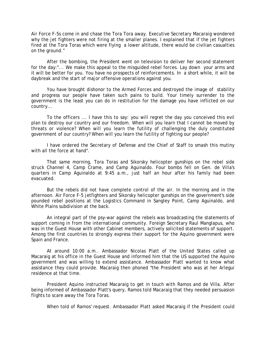Air Force F-5s come in and chase the Tora Tora away. Executive Secretary Macaraig wondered why the jet fighters were not firing at the smaller planes. I explained that if the jet fighters fired at the Tora Toras which were flying a lower altitude, there would be civilian casualties on the ground."

After the bombing, the President went on television to deliver her second statement for the day:"... We make this appeal to the misguided rebel forces. Lay down your arms and it will be better for you. You have no prospects of reinforcements. In a short while, it will be daybreak and the start of major offensive operations against you.

You have brought dishonor to the Armed Forces and destroyed the image of stability and progress our people have taken such pains to build. Your timely surrender to the government is the least you can do in restitution for the damage you have inflicted on our country...

To the officers ... I have this to say: you will regret the day you conceived this evil plan to destroy our country and our freedom. When will you learn that I cannot be moved by threats or violence? When will you learn the futility of challenging the duly constituted government of our country? When will you learn the futility of fighting our people?

I have ordered the Secretary of Defense and the Chief of Staff to smash this mutiny with all the force at hand".

That same morning, Tora Toras and Sikorsky helicopter gunships on the rebel side struck Channel 4, Camp Crame, and Camp Aguinaldo. Four bombs fell on Gen. de Villa's quarters in Camp Aguinaldo at 9:45 a.m., just half an hour after his family had been evacuated.

But the rebels did not have complete control of the air. In the morning and in the afternoon. Air Force F-5 jetfighters and Sikorsky helicopter gunships on the government's side pounded rebel positions at the Logistics Command in Sangley Point, Camp Aguinaldo, and White Plains subdivision at the back.

An integral part of the psy-war against the rebels was broadcasting the statements of support coming in from the international community. Foreign Secretary Raul Manglapus, who was in the Guest House with other Cabinet members, actively solicited statements of support. Among the first countries to strongly express their support for the Aquino government were Spain and France.

At around 10:00 a.m.. Ambassador Nicolas Platt of the United States called up Macaraig at his office in the Guest House and informed him that the US supported the Aquino government and was willing to extend assistance. Ambassador Platt wanted to know what assistance they could provide. Macaraig then phoned "the President who was at her Arlegui residence at that time.

President Aquino instructed Macaraig to get in touch with Ramos and de Villa. After being informed of Ambassador Platt's query, Ramos told Macaraig that they needed persuasion flights to scare away the Tora Toras.

When told of Ramos' request. Ambassador Platt asked Macaraig if the President could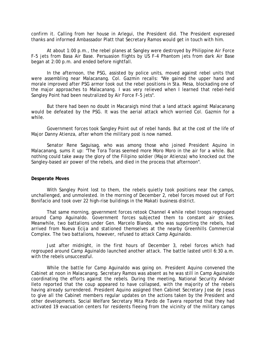confirm it. Calling from her house in Arlegui, the President did. The President expressed thanks and informed Ambassador Platt that Secretary Ramos would get in touch with him.

At about 1:00 p.m., the rebel planes at Sangley were destroyed by Philippine Air Force F-5 jets from Basa Air Base. Persuasion flights by US F-4 Phantom jets from dark Air Base began at 2:00 p.m. and ended before nightfall.

In the afternoon, the PSG, assisted by police units, moved against rebel units that were assembling near Malacanang. Col. Gazmin recalls: "We gained the upper hand and morale improved after PSG armor took out the rebel positions in Sta. Mesa, blockading one of the major approaches to Malacanang. I was very relieved when I learned that rebel-held Sangley Point had been neutralized by Air Force F-5 jets".

But there had been no doubt in Macaraig's mind that a land attack against Malacanang would be defeated by the PSG. It was the aerial attack which worried Col. Gazmin for a while.

Government forces took Sangley Point out of rebel hands. But at the cost of the life of Major Danny Atienza, after whom the military post is now named.

Senator Rene Saguisag, who was among those who joined President Aquino in Malacanang, sums it up: "The Tora Toras seemed more Moro Moro in the air for a while. But nothing could take away the glory of the Filipino soldier (Major Atienza) who knocked out the Sangley-based air power of the rebels, and died in the process that afternoon".

#### **Desperate Moves**

With Sangley Point lost to them, the rebels quietly took positions near the camps, unchallenged, and unmolested. In the morning of December 2, rebel forces moved out of Fort Bonifacio and took over 22 high-rise buildings in the Makati business district.

That same morning, government forces retook Channel 4 while rebel troops regrouped around Camp Aguinaldo. Government forces subjected them to constant air strikes. Meanwhile, two battalions under Gen. Marcelo Blando, who was supporting the rebels, had arrived from Nueva Ecija and stationed themselves at the nearby Greenhills Commercial Complex. The two battalions, however, refused to attack Camp Aguinaldo.

Just after midnight, in the first hours of December 3, rebel forces which had regrouped around Camp Aguinaldo launched another attack. The battle lasted until 6:30 a.m. with the rebels unsuccessful.

While the battle for Camp Aguinaldo was going on. President Aquino convened the Cabinet at noon in Malacanang. Secretary Ramos was absent as he was still in Camp Aguinaldo coordinating the efforts against the rebels. During the meeting, National Security Adviser Ileto reported that the coup appeared to have collapsed, with the majority of the rebels having already surrendered. President Aquino assigned then Cabinet Secretary Jose de Jesus to give all the Cabinet members regular updates on the actions taken by the President and other developments. Social Welfare Secretary Mita Pardo de Tavera reported that they had activated 19 evacuation centers for residents fleeing from the vicinity of the military camps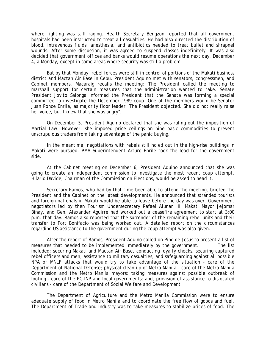where fighting was still raging. Health Secretary Bengzon reported that all government hospitals had been instructed to treat all casualties. He had also directed the distribution of blood, intravenous fluids, anesthesia, and antibiotics needed to treat bullet and shrapnel wounds. After some discussion, it was agreed to suspend classes indefinitely. It was also decided that government offices and banks would resume operations the next day, December 4, a Monday, except in some areas where security was still a problem.

But by that Monday, rebel forces were still in control of portions of the Makati business district and Mactan Air Base in Cebu. President Aquino met with senators, congressmen, and Cabinet members. Macaraig recalls the meeting: 'The President called the meeting to marshall support for certain measures that the administration wanted to take. Senate President Jovito Salonga informed the President that the Senate was forming a special committee to investigate the December 1989 coup. One of the members would be Senator Juan Ponce Enrile, as majority floor leader. The President objected. She did not really raise her voice, but I knew that she was angry".

On December 5, President Aquino declared that she was ruling out the imposition of Martial Law. However, she imposed price ceilings on nine basic commodities to prevent unscrupulous traders from taking advantage of the panic buying.

In the meantime, negotiations with rebels still holed out in the high-rise buildings in Makati were pursued. PMA Superintendent Arturo Enrile took the lead for the government side.

At the Cabinet meeting on December 6, President Aquino announced that she was going to create an independent commission to investigate the most recent coup attempt. Hilario Davide, Chairman of the Commission on Elections, would be asked to head it.

Secretary Ramos, who had by that time been able to attend the meeting, briefed the President and the Cabinet on the latest developments. He announced that stranded tourists and foreign nationals in Makati would be able to leave before the day was over. Government negotiators led by then Tourism Undersecretary Rafael Alunan III, Makati Mayor Jejomar Binay, and Gen. Alexander Aguirre had worked out a ceasefire agreement to start at 3:00 p.m. that day. Ramos also reported that the surrender of the remaining rebel units and their transfer to Fort Bonifacio was being worked out. A detailed report on the circumstances regarding US assistance to the government during the coup attempt was also given.

After the report of Ramos, President Aquino called on Ping de Jesus to present a list of measures that needed to be implemented immediately by the government. The list included: securing Makati and Mactan Air Base, conducting loyalty checks, securing captured rebel officers and men, assistance to military casualties, and safeguarding against all possible NPA or MNLF attacks that would try to take advantage of the situation - care of the Department of National Defense; physical clean-up of Metro Manila - care of the Metro Manila Commission and the Metro Manila mayors; taking measures against possible outbreak of looting - care of the PC-INP and local governments; and, provision of assistance to dislocated civilians - care of the Department of Social Welfare and Development.

The Department of Agriculture and the Metro Manila Commission were to ensure adequate supply of food in Metro Manila and to coordinate the free flow of goods and fuel. The Department of Trade and Industry was to take measures to stabilize prices of food. The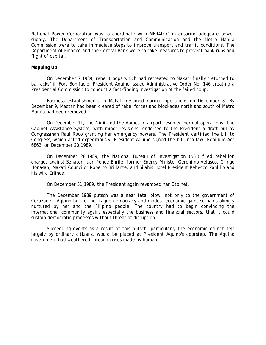National Power Corporation was to coordinate with MERALCO in ensuring adequate power supply. The Department of Transportation and Communication and the Metro Manila Commission were to take immediate steps to improve transport and traffic conditions. The Department of Finance and the Central Bank were to take measures to prevent bank runs and flight of capital.

#### **Mopping Up**

On December 7,1989, rebel troops which had retreated to Makati finally "returned to barracks" in Fort Bonifacio. President Aquino issued Administrative Order No. 146 creating a Presidential Commission to conduct a fact-finding investigation of the failed coup.

Business establishments in Makati resumed normal operations on December 8. By December 9, Mactan had been cleared of rebel forces and blockades north and south of Metro Manila had been removed.

On December 11, the NAIA and the domestic airport resumed normal operations. The Cabinet Assistance System, with minor revisions, endorsed to the President a draft bill by Congressman Raul Roco granting her emergency powers. The President certified the bill to Congress, which acted expeditiously. President Aquino signed the bill into law. Republic Act 6862, on December 20,1989.

On December 28,1989, the National Bureau of Investigation (NBI) filed rebellion charges against Senator Juan Ponce Enrile, former Energy Minister Geronimo Velasco, Gringo Honasan, Makati Councilor Roberto Brillante, and Silahis Hotel President Rebecco Panlilio and his wife Erlinda.

On December 31,1989, the President again revamped her Cabinet.

The December 1989 putsch was a near fatal blow, not only to the government of Corazon C. Aquino but to the fragile democracy and modest economic gains so painstakingly nurtured by her and the Filipino people. The country had to begin convincing the international community again, especially the business and financial sectors, that it could sustain democratic processes without threat of disruption.

Succeeding events as a result of this putsch, particularly the economic crunch felt largely by ordinary citizens, would be placed at President Aquino's doorstep. The Aquino government had weathered through crises made by human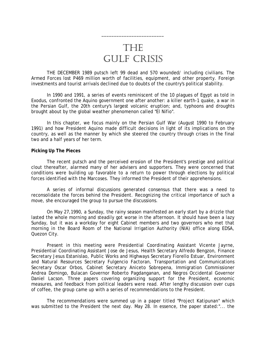## THE GULF CRISIS

\_\_\_\_\_\_\_\_\_\_\_\_\_\_\_\_\_\_\_\_\_\_\_\_\_

THE DECEMBER 1989 putsch left 99 dead and 570 wounded/ including civilians. The Armed Forces lost P469 million worth of facilities, equipment, and other property. Foreign investments and tourist arrivals declined due to doubts of the country's political stability.

In 1990 and 1991, a series of events reminiscent of the 10 plagues of Egypt as told in Exodus, confronted the Aquino government one after another: a killer earth-1 quake, a war in the Persian Gulf, the 20th century's largest volcanic eruption; and, typhoons and droughts brought about by the global weather phenomenon called "El Nifio".

In this chapter, we focus mainly on the Persian Gulf War (August 1990 to February 1991) and how President Aquino made difficult decisions in light of its implications on the country, as well as the manner by which she steered the country through crises in the final two and a half years of her term.

#### **Picking Up The Pieces**

The recent putsch and the perceived erosion of the President's prestige and political clout thereafter, alarmed many of her advisers and supporters. They were concerned that conditions were building up favorable to a return to power through elections by political forces identified with the Marcoses. They informed the President of their apprehensions.

A series of informal discussions generated consensus that there was a need to reconsolidate the forces behind the President. Recognizing the critical importance of such a move, she encouraged the group to pursue the discussions.

On May 27,1990, a Sunday, the rainy season manifested an early start by a drizzle that lasted the whole morning and steadily got worse in the afternoon. It should have been a lazy Sunday, but it was a workday for eight Cabinet members and two governors who met that morning in the Board Room of the National Irrigation Authority (NIA) office along EDSA, Quezon City.

Present in this meeting were Presidential Coordinating Assistant Vicente Jayrne, Presidential Coordinating Assistant Jose de Jesus, Health Secretary Alfredo Bengzon, Finance Secretary Jesus Estanislao, Public Works and Highways Secretary Fiorello Estuar, Environment and Natural Resources Secretary Fulgencio Factoran, Transportation and Communications Secretary Oscar Orbos, Cabinet Secretary Aniceto Sobrepena, Immigration Commissioner Andrea Domingo, Bulacan Governor Roberto Pagdanganan, and Negros Occidental Governor Daniel Lacson. Three papers covering organizing support for the President, economic measures, and feedback from political leaders were read. After lengthy discussion over cups of coffee, the group came up with a series of recommendations to the President.

The recommendations were summed up in a paper titled "Project Katipunan" which was submitted to the President the next day. May 28. In essence, the paper stated:"... the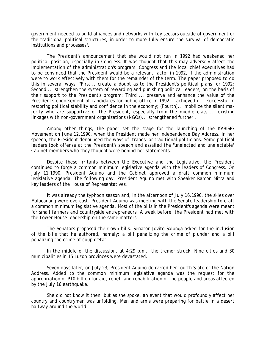government needed to build alliances and networks with key sectors outside of government or the traditional political structures, in order to more fully ensure the survival of democratic institutions and processes".

The President's announcement that she would not run in 1992 had weakened her political position, especially in Congress. It was thought that this may adversely affect the implementation of the administration's program. Congress and the local chief executives had to be convinced that the President would be a relevant factor in 1992, if the administration were to work effectively with them for the remainder of the term. The paper proposed to do this in several ways: "First... create a doubt as to the President's political plans for 1992; Second ... strengthen the system of rewarding and punishing political leaders, on the basis of their support to the President's program; Third ... preserve and enhance the value of the President's endorsement of candidates for public office in 1992... achieved if... successful in restoring political stability and confidence in the economy; (Fourth)... mobilize the silent majority who are supportive of the President, especially from the middle class ... existing linkages with non-government organizations (NGOs)... strengthened further".

Among other things, the paper set the stage for the launching of the KABISIG Movement on June 12,1990, when the President made her Independence Day Address. In her speech, the President denounced the ways of "trapos" or traditional politicians. Some political leaders took offense at the President's speech and assailed the "unelected and unelectable" Cabinet members who they thought were behind her statements.

Despite these irritants between the Executive and the Legislative, the President continued to forge a common minimum legislative agenda with the leaders of Congress. On July 11,1990, President Aquino and the Cabinet approved a draft common minimum legislative agenda. The following day. President Aquino met with Speaker Ramon Mitra and key leaders of the House of Representatives.

It was already the typhoon season and, in the afternoon of July 16,1990, the skies over Malacanang were overcast. President Aquino was meeting with the Senate leadership to craft a common minimum legislative agenda. Most of the bills in the President's agenda were meant for small farmers and countryside entrepreneurs. A week before, the President had met with the Lower House leadership on the same matters.

The Senators proposed their own bills. Senator Jovito Salonga asked for the inclusion of the bills that he authored, namely: a bill penalizing the crime of plunder and a bill penalizing the crime of coup d'etat.

In the middle of the discussion, at 4:29 p.m., the tremor struck. Nine cities and 30 municipalities in 15 Luzon provinces were devastated.

Seven days later, on July 23, President Aquino delivered her fourth State of the Nation Address. Added to the common minimum legislative agenda was the request for the appropriation of P10 billion for aid, relief, and rehabilitation of the people and areas affected by the July 16 earthquake.

She did not know it then, but as she spoke, an event that would profoundly affect her country and countrymen was unfolding. Men and arms were preparing for battle in a desert halfway around the world.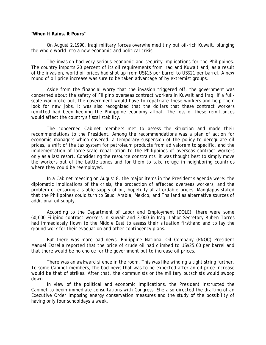#### **"When It Rains, It Pours"**

On August 2,1990, Iraqi military forces overwhelmed tiny but oil-rich Kuwait, plunging the whole world into a new economic and political crisis.

The invasion had very serious economic and security implications for the Philippines. The country imports 20 percent of its oil requirements from Iraq and Kuwait and, as a result of the invasion, world oil prices had shot up from US\$15 per barrel to US\$21 per barrel. A new round of oil price increase was sure to be taken advantage of by extremist groups.

Aside from the financial worry that the invasion triggered off, the government was concerned about the safety of Filipino overseas contract workers in Kuwait and Iraq. If a fullscale war broke out, the government would have to repatriate these workers and help them look for new jobs. It was also recognized that the dollars that these contract workers remitted had been keeping the Philippine economy afloat. The loss of these remittances would affect the country's fiscal stability.

The concerned Cabinet members met to assess the situation and made their recommendations to the President. Among the recommendations was a plan of action for economic managers which covered: a temporary suspension of the policy to deregulate oil prices, a shift of the tax system for petroleum products from ad valorem to specific, and the implementation of large-scale repatriation to the Philippines of overseas contract workers only as a last resort. Considering the resource constraints, it was thought best to simply move the workers out of the battle zones and for them to take refuge in neighboring countries where they could be reemployed.

In a Cabinet meeting on August 8, the major items in the President's agenda were: the diplomatic implications of the crisis, the protection of affected overseas workers, and the problem of ensuring a stable supply of oil, hopefully at affordable prices. Manglapus stated that the Philippines could turn to Saudi Arabia, Mexico, and Thailand as alternative sources of additional oil supply.

According to the Department of Labor and Employment (DOLE), there were some 60,000 Filipino contract workers in Kuwait and 3,000 in Iraq. Labor Secretary Ruben Torres had immediately flown to the Middle East to assess their situation firsthand and to lay the ground work for their evacuation and other contingency plans.

But there was more bad news. Philippine National Oil Company (PNOC) President Manuel Estrella reported that the price of crude oil had climbed to US\$25.60 per barrel and that there would be no choice for the government but to increase oil prices.

There was an awkward silence in the room. This was like winding a tight string further. To some Cabinet members, the bad news that was to be expected after an oil price increase would be that of strikes. After that, the communists or the military putschists would swoop down.

In view of the political and economic implications, the President instructed the Cabinet to begin immediate consultations with Congress. She also directed the drafting of an Executive Order imposing energy conservation measures and the study of the possibility of having only four schooldays a week.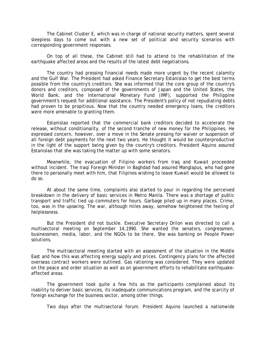The Cabinet Cluster E, which was in charge of national security matters, spent several sleepless days to come out with a new set of political and security scenarios with corresponding government responses.

On top of all these, the Cabinet still had to attend to the rehabilitation of the earthquake affected areas and the results of the latest debt negotiations.

The country had pressing financial needs made more urgent by the recent calamity and the Gulf War. The President had asked Finance Secretary Estanislao to get the best terms possible from the country's creditors. She was informed that the core group of the country's donors and creditors, composed of the governments of Japan and the United States, the World Bank, and the International Monetary Fund (IMF), supported the Philippine government's request for additional assistance. The President's policy of not repudiating debts had proven to be propitious. Now that the country needed emergency loans, the creditors were more amenable to granting them.

Estanislao reported that the commercial bank creditors decided to accelerate the release, without conditionality, of the second tranche of new money for the Philippines. He expressed concern, however, over a move in the Senate pressing for waiver or suspension of all foreign debt payments for the next two years. He thought it would be counterproductive in the light of the support being given by the country's creditors. President Aquino assured Estanislao that she was taking the matter up with some senators.

Meanwhile, the evacuation of Filipino workers from Iraq and Kuwait proceeded without incident. The Iraqi Foreign Minister in Baghdad had assured Manglapus, who had gone there to personally meet with him, that Filipinos wishing to leave Kuwait would be allowed to do so.

At about the same time, complaints also started to pour in regarding the perceived breakdown in the delivery of basic services in Metro Manila. There was a shortage of public transport and traffic tied up commuters for hours. Garbage piled up in many places. Crime, too, was in the upswing. The war, although miles away, somehow heightened the feeling of helplessness.

But the President did not buckle. Executive Secretary Drilon was directed to call a multisectoral meeting on September 14,1990. She wanted the senators, congressmen, businessmen, media, labor, and the NGOs to be there. She was banking on People Power solutions.

The multisectoral meeting started with an assessment of the situation in the Middle East and how this was affecting energy supply and prices. Contingency plans for the affected overseas contract workers were outlined. Gas rationing was considered. They were updated on the peace and order situation as well as on government efforts to rehabilitate earthquakeaffected areas.

The government took quite a few hits as the participants complained about its inability to deliver basic services, its inadequate communications program, and the scarcity of foreign exchange for the business sector, among other things.

Two days after the multisectoral forum. President Aquino launched a nationwide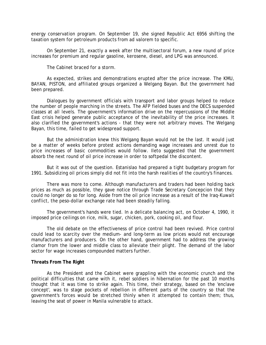energy conservation program. On September 19, she signed Republic Act 6956 shifting the taxation system for petroleum products from ad valorem to specific.

On September 21, exactly a week after the multisectoral forum, a new round of price increases for premium and regular gasoline, kerosene, diesel, and LPG was announced.

The Cabinet braced for a storm.

As expected, strikes and demonstrations erupted after the price increase. The KMU, BAYAN, PISTON, and affiliated groups organized a Welgang Bayan. But the government had been prepared.

Dialogues by government officials with transport and labor groups helped to reduce the number of people marching in the streets. The AFP fielded buses and the DECS suspended classes at all levels. The government's information drive on the repercussions of the Middle East crisis helped generate public acceptance of the inevitability of the price increases. It also clarified the government's actions - that they were not arbitrary moves. The Welgang Bayan, this time, failed to get widespread support.

But the administration knew this Welgang Bayan would not be the last. It would just be a matter of weeks before protest actions demanding wage increases and unrest due to price increases of basic commodities would follow. Ileto suggested that the government absorb the next round of oil price increase in order to softpedal the discontent.

But it was out of the question. Estanislao had prepared a tight budgetary program for 1991. Subsidizing oil prices simply did not fit into the harsh realities of the country's finances.

There was more to come. Although manufacturers and traders had been holding back prices as much as possible, they gave notice through Trade Secretary Concepcion that they could no longer do so for long. Aside from the oil price increase as a result of the Iraq-Kuwait conflict, the peso-dollar exchange rate had been steadily falling.

The government's hands were tied. In a delicate balancing act, on October 4, 1990, it imposed price ceilings on rice, milk, sugar, chicken, pork, cooking oil, and flour.

The old debate on the effectiveness of price control had been revived. Price control could lead to scarcity over the medium- and long-term as low prices would not encourage manufacturers and producers. On the other hand, government had to address the growing clamor from the lower and middle class to alleviate their plight. The demand of the labor sector for wage increases compounded matters further.

#### **Threats From The Right**

As the President and the Cabinet were grappling with the economic crunch and the political difficulties that came with it, rebel soldiers in hibernation for the past 10 months thought that it was time to strike again. This time, their strategy, based on the 'enclave concept', was to stage pockets of rebellion in different parts of the country so that the government's forces would be stretched thinly when it attempted to contain them; thus, leaving the seat of power in Manila vulnerable to attack.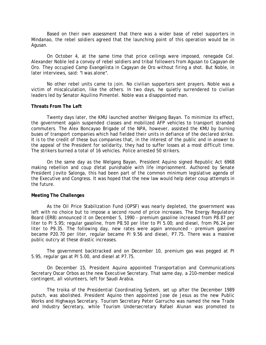Based on their own assessment that there was a wider base of rebel supporters in Mindanao, the rebel soldiers agreed that the launching point of this operation would be in Agusan.

On October 4, at the same time that price ceilings were imposed, renegade Col. Alexander Noble led a convoy of rebel soldiers and tribal followers from Agusan to Cagayan de Oro. They occupied Camp Evangelista in Cagayan de Oro without firing a shot. But Noble, in later interviews, said: "I was alone".

No other rebel units came to join. No civilian supporters sent prayers. Noble was a victim of miscalculation, like the others. In two days, he quietly surrendered to civilian leaders led by Senator Aquilino Pimentel. Noble was a disappointed man.

#### **Threats From The Left**

Twenty days later, the KMU launched another Welgang Bayan. To minimize its effect, the government again suspended classes and mobilized AFP vehicles to transport stranded commuters. The Alex Boncayao Brigade of the NPA, however, assisted the KMU by burning buses of transport companies which had fielded their units in defiance of the declared strike. It is to the credit of these bus companies that, in the interest of the public and in answer to the appeal of the President for solidarity, they had to suffer losses at a most difficult time. The strikers burned a total of 16 vehicles. Police arrested 50 strikers.

On the same day as the Welgang Bayan, President Aquino signed Republic Act 6968 making rebellion and coup d'etat punishable with life imprisonment. Authored by Senate President Jovito Salonga, this had been part of the common minimum legislative agenda of the Executive and Congress. It was hoped that the new law would help deter coup attempts in the future.

#### **Meeting The Challenges**

As the Oil Price Stabilization Fund (OPSF) was nearly depleted, the government was left with no choice but to impose a second round of price increases. The Energy Regulatory Board (ERB) announced it on December 5, 1990 - premium gasoline increased from P8.87 per liter to PI 5.95; regular gasoline, from P8.50 per liter to PI 5.00; and diesel, from P6.24 per liter to P9.35. The following day, new rates were again announced - premium gasoline became P20.70 per liter, regular became PI 9.56 and diesel, P7.75. There was a massive public outcry at these drastic increases.

The government backtracked and on December 10, premium gas was pegged at PI 5.95, regular gas at PI 5.00, and diesel at P7.75.

On December 15, President Aquino appointed Transportation and Communications Secretary Oscar Orbos as the new Executive Secretary. That same day, a 210-member medical contingent, all volunteers, left for Saudi Arabia.

The troika of the Presidential Coordinating System, set up after the December 1989 putsch, was abolished. President Aquino then appointed Jose de Jesus as the new Public Works and Highways Secretary. Tourism Secretary Peter Garrucho was named the new Trade and Industry Secretary, while Tourism Undersecretary Rafael Alunan was promoted to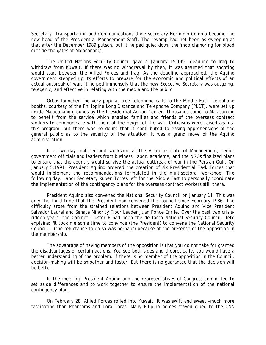Secretary. Transportation and Communications Undersecretary Herminio Coloma became the new head of the Presidential Management Staff. The revamp had not been as sweeping as that after the December 1989 putsch, but it helped quiet down the 'mob clamoring for blood outside the gates of Malacanang'.

The United Nations Security Council gave a January 15,1991 deadline to Iraq to withdraw from Kuwait. If there was no withdrawal by then, it was assumed that shooting would start between the Allied Forces and Iraq. As the deadline approached, the Aquino government stepped up its efforts to prepare for the economic and political effects of an actual outbreak of war. It helped immensely that the new Executive Secretary was outgoing, telegenic, and effective in relating with the media and the public.

Orbos launched the very popular free telephone calls to the Middle East. Telephone booths, courtesy of the Philippine Long Distance and Telephone Company (PLDT), were set up inside Malacanang grounds by the Presidential Action Center. Thousands came to Malacanang to benefit from the service which enabled families and friends of the overseas contract workers to communicate with them at the height of the war. Criticisms were raised against this program, but there was no doubt that it contributed to easing apprehensions of the general public as to the severity of the situation. It was a grand move of the Aquino administration.

In a two-day multisectoral workshop at the Asian Institute of Management, senior government officials and leaders from business, labor, academe, and the NGOs finalized plans to ensure that the country would survive the actual outbreak of war in the Persian Gulf. On January 5,1991, President Aquino ordered the creation of six Presidential Task Forces that would implement the recommendations formulated in the multisectoral workshop. The following day. Labor Secretary Ruben Torres left for the Middle East to personally coordinate the implementation of the contingency plans for the overseas contract workers still there.

President Aquino also convened the National Security Council on January 11. This was only the third time that the President had convened the Council since February 1986. The difficulty arose from the strained relations between President Aquino and Vice President Salvador Laurel and Senate Minority Floor Leader Juan Ponce Enrile. Over the past two crisisridden years, the Cabinet Cluster E had been the de facto National Security Council. Ileto explains: "It took me some time to convince (the President) to convene the National Security Council... (the reluctance to do so was perhaps) because of the presence of the opposition in the membership.

The advantage of having members of the opposition is that you do not take for granted the disadvantages of certain actions. You see both sides and theoretically, you would have a better understanding of the problem. If there is no member of the opposition in the Council, decision-making will be smoother and faster. But there is no guarantee that the decision will be better".

In the meeting. President Aquino and the representatives of Congress committed to set aside differences and to work together to ensure the implementation of the national contingency plan.

On February 28, Allied Forces rolled into Kuwait. It was swift and sweet -much more fascinating than Phantoms and Tora Toras. Many Filipino homes stayed glued to the CNN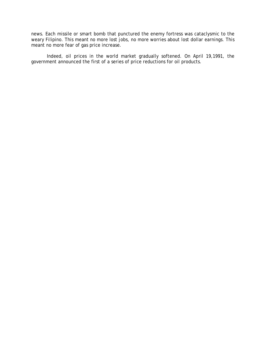news. Each missile or smart bomb that punctured the enemy fortress was cataclysmic to the weary Filipino. This meant no more lost jobs, no more worries about lost dollar earnings. This meant no more fear of gas price increase.

Indeed, oil prices in the world market gradually softened. On April 19,1991, the government announced the first of a series of price reductions for oil products.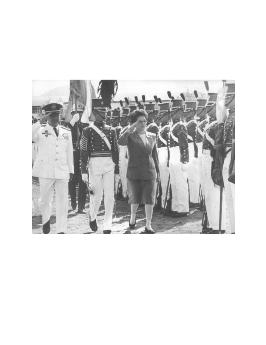